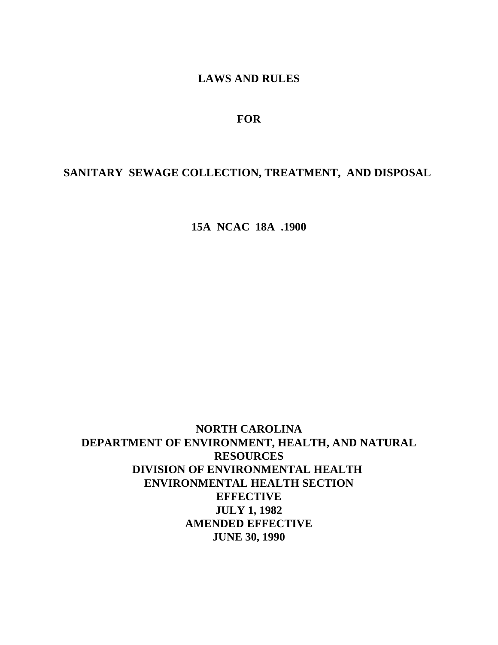# **LAWS AND RULES**

### **FOR**

# **SANITARY SEWAGE COLLECTION, TREATMENT, AND DISPOSAL**

**15A NCAC 18A .1900**

**NORTH CAROLINA DEPARTMENT OF ENVIRONMENT, HEALTH, AND NATURAL RESOURCES DIVISION OF ENVIRONMENTAL HEALTH ENVIRONMENTAL HEALTH SECTION EFFECTIVE JULY 1, 1982 AMENDED EFFECTIVE JUNE 30, 1990**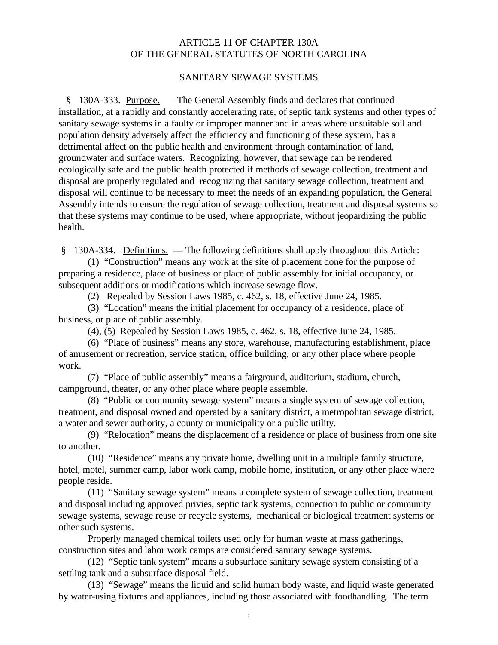### ARTICLE 11 OF CHAPTER 130A OF THE GENERAL STATUTES OF NORTH CAROLINA

#### SANITARY SEWAGE SYSTEMS

 § 130A-333. Purpose. — The General Assembly finds and declares that continued installation, at a rapidly and constantly accelerating rate, of septic tank systems and other types of sanitary sewage systems in a faulty or improper manner and in areas where unsuitable soil and population density adversely affect the efficiency and functioning of these system, has a detrimental affect on the public health and environment through contamination of land, groundwater and surface waters. Recognizing, however, that sewage can be rendered ecologically safe and the public health protected if methods of sewage collection, treatment and disposal are properly regulated and recognizing that sanitary sewage collection, treatment and disposal will continue to be necessary to meet the needs of an expanding population, the General Assembly intends to ensure the regulation of sewage collection, treatment and disposal systems so that these systems may continue to be used, where appropriate, without jeopardizing the public health.

§ 130A-334. Definitions. — The following definitions shall apply throughout this Article:

(1) "Construction" means any work at the site of placement done for the purpose of preparing a residence, place of business or place of public assembly for initial occupancy, or subsequent additions or modifications which increase sewage flow.

(2) Repealed by Session Laws 1985, c. 462, s. 18, effective June 24, 1985.

(3) "Location" means the initial placement for occupancy of a residence, place of business, or place of public assembly.

(4), (5) Repealed by Session Laws 1985, c. 462, s. 18, effective June 24, 1985.

(6) "Place of business" means any store, warehouse, manufacturing establishment, place of amusement or recreation, service station, office building, or any other place where people work.

(7) "Place of public assembly" means a fairground, auditorium, stadium, church, campground, theater, or any other place where people assemble.

(8) "Public or community sewage system" means a single system of sewage collection, treatment, and disposal owned and operated by a sanitary district, a metropolitan sewage district, a water and sewer authority, a county or municipality or a public utility.

(9) "Relocation" means the displacement of a residence or place of business from one site to another.

(10) "Residence" means any private home, dwelling unit in a multiple family structure, hotel, motel, summer camp, labor work camp, mobile home, institution, or any other place where people reside.

(11) "Sanitary sewage system" means a complete system of sewage collection, treatment and disposal including approved privies, septic tank systems, connection to public or community sewage systems, sewage reuse or recycle systems, mechanical or biological treatment systems or other such systems.

Properly managed chemical toilets used only for human waste at mass gatherings, construction sites and labor work camps are considered sanitary sewage systems.

(12) "Septic tank system" means a subsurface sanitary sewage system consisting of a settling tank and a subsurface disposal field.

(13) "Sewage" means the liquid and solid human body waste, and liquid waste generated by water-using fixtures and appliances, including those associated with foodhandling. The term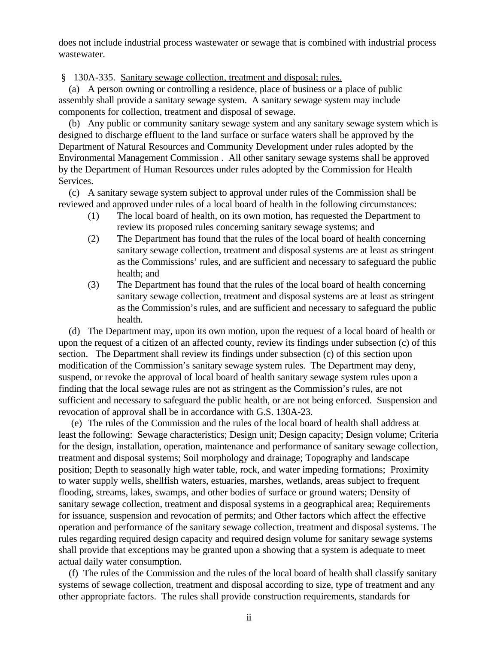does not include industrial process wastewater or sewage that is combined with industrial process wastewater.

§ 130A-335. Sanitary sewage collection, treatment and disposal; rules.

 (a) A person owning or controlling a residence, place of business or a place of public assembly shall provide a sanitary sewage system. A sanitary sewage system may include components for collection, treatment and disposal of sewage.

 (b) Any public or community sanitary sewage system and any sanitary sewage system which is designed to discharge effluent to the land surface or surface waters shall be approved by the Department of Natural Resources and Community Development under rules adopted by the Environmental Management Commission . All other sanitary sewage systems shall be approved by the Department of Human Resources under rules adopted by the Commission for Health Services.

 (c) A sanitary sewage system subject to approval under rules of the Commission shall be reviewed and approved under rules of a local board of health in the following circumstances:

- (1) The local board of health, on its own motion, has requested the Department to review its proposed rules concerning sanitary sewage systems; and
- (2) The Department has found that the rules of the local board of health concerning sanitary sewage collection, treatment and disposal systems are at least as stringent as the Commissions' rules, and are sufficient and necessary to safeguard the public health; and
- (3) The Department has found that the rules of the local board of health concerning sanitary sewage collection, treatment and disposal systems are at least as stringent as the Commission's rules, and are sufficient and necessary to safeguard the public health.

 (d) The Department may, upon its own motion, upon the request of a local board of health or upon the request of a citizen of an affected county, review its findings under subsection (c) of this section. The Department shall review its findings under subsection (c) of this section upon modification of the Commission's sanitary sewage system rules. The Department may deny, suspend, or revoke the approval of local board of health sanitary sewage system rules upon a finding that the local sewage rules are not as stringent as the Commission's rules, are not sufficient and necessary to safeguard the public health, or are not being enforced. Suspension and revocation of approval shall be in accordance with G.S. 130A-23.

 (e) The rules of the Commission and the rules of the local board of health shall address at least the following: Sewage characteristics; Design unit; Design capacity; Design volume; Criteria for the design, installation, operation, maintenance and performance of sanitary sewage collection, treatment and disposal systems; Soil morphology and drainage; Topography and landscape position; Depth to seasonally high water table, rock, and water impeding formations; Proximity to water supply wells, shellfish waters, estuaries, marshes, wetlands, areas subject to frequent flooding, streams, lakes, swamps, and other bodies of surface or ground waters; Density of sanitary sewage collection, treatment and disposal systems in a geographical area; Requirements for issuance, suspension and revocation of permits; and Other factors which affect the effective operation and performance of the sanitary sewage collection, treatment and disposal systems. The rules regarding required design capacity and required design volume for sanitary sewage systems shall provide that exceptions may be granted upon a showing that a system is adequate to meet actual daily water consumption.

 (f) The rules of the Commission and the rules of the local board of health shall classify sanitary systems of sewage collection, treatment and disposal according to size, type of treatment and any other appropriate factors. The rules shall provide construction requirements, standards for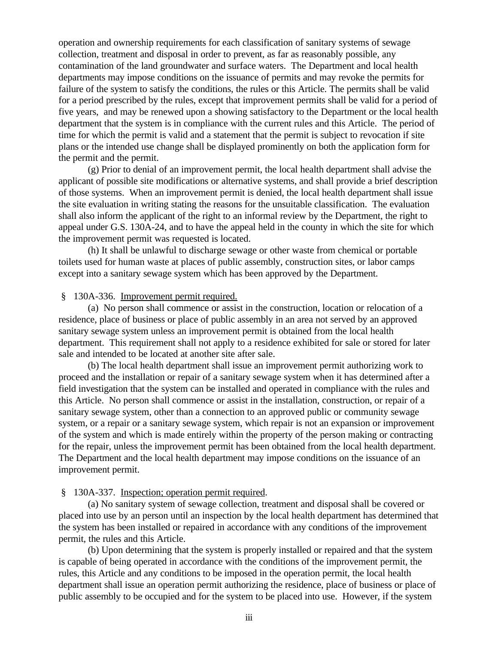operation and ownership requirements for each classification of sanitary systems of sewage collection, treatment and disposal in order to prevent, as far as reasonably possible, any contamination of the land groundwater and surface waters. The Department and local health departments may impose conditions on the issuance of permits and may revoke the permits for failure of the system to satisfy the conditions, the rules or this Article. The permits shall be valid for a period prescribed by the rules, except that improvement permits shall be valid for a period of five years, and may be renewed upon a showing satisfactory to the Department or the local health department that the system is in compliance with the current rules and this Article. The period of time for which the permit is valid and a statement that the permit is subject to revocation if site plans or the intended use change shall be displayed prominently on both the application form for the permit and the permit.

(g) Prior to denial of an improvement permit, the local health department shall advise the applicant of possible site modifications or alternative systems, and shall provide a brief description of those systems. When an improvement permit is denied, the local health department shall issue the site evaluation in writing stating the reasons for the unsuitable classification. The evaluation shall also inform the applicant of the right to an informal review by the Department, the right to appeal under G.S. 130A-24, and to have the appeal held in the county in which the site for which the improvement permit was requested is located.

(h) It shall be unlawful to discharge sewage or other waste from chemical or portable toilets used for human waste at places of public assembly, construction sites, or labor camps except into a sanitary sewage system which has been approved by the Department.

### § 130A-336. Improvement permit required.

(a) No person shall commence or assist in the construction, location or relocation of a residence, place of business or place of public assembly in an area not served by an approved sanitary sewage system unless an improvement permit is obtained from the local health department. This requirement shall not apply to a residence exhibited for sale or stored for later sale and intended to be located at another site after sale.

(b) The local health department shall issue an improvement permit authorizing work to proceed and the installation or repair of a sanitary sewage system when it has determined after a field investigation that the system can be installed and operated in compliance with the rules and this Article. No person shall commence or assist in the installation, construction, or repair of a sanitary sewage system, other than a connection to an approved public or community sewage system, or a repair or a sanitary sewage system, which repair is not an expansion or improvement of the system and which is made entirely within the property of the person making or contracting for the repair, unless the improvement permit has been obtained from the local health department. The Department and the local health department may impose conditions on the issuance of an improvement permit.

#### § 130A-337. Inspection; operation permit required.

(a) No sanitary system of sewage collection, treatment and disposal shall be covered or placed into use by an person until an inspection by the local health department has determined that the system has been installed or repaired in accordance with any conditions of the improvement permit, the rules and this Article.

(b) Upon determining that the system is properly installed or repaired and that the system is capable of being operated in accordance with the conditions of the improvement permit, the rules, this Article and any conditions to be imposed in the operation permit, the local health department shall issue an operation permit authorizing the residence, place of business or place of public assembly to be occupied and for the system to be placed into use. However, if the system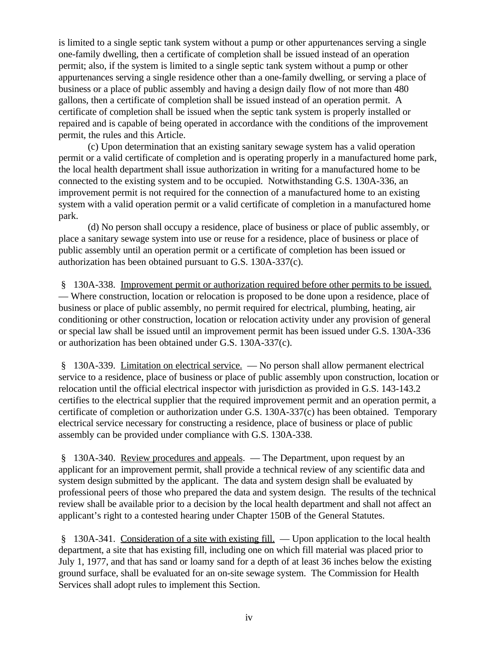is limited to a single septic tank system without a pump or other appurtenances serving a single one-family dwelling, then a certificate of completion shall be issued instead of an operation permit; also, if the system is limited to a single septic tank system without a pump or other appurtenances serving a single residence other than a one-family dwelling, or serving a place of business or a place of public assembly and having a design daily flow of not more than 480 gallons, then a certificate of completion shall be issued instead of an operation permit. A certificate of completion shall be issued when the septic tank system is properly installed or repaired and is capable of being operated in accordance with the conditions of the improvement permit, the rules and this Article.

(c) Upon determination that an existing sanitary sewage system has a valid operation permit or a valid certificate of completion and is operating properly in a manufactured home park, the local health department shall issue authorization in writing for a manufactured home to be connected to the existing system and to be occupied. Notwithstanding G.S. 130A-336, an improvement permit is not required for the connection of a manufactured home to an existing system with a valid operation permit or a valid certificate of completion in a manufactured home park.

(d) No person shall occupy a residence, place of business or place of public assembly, or place a sanitary sewage system into use or reuse for a residence, place of business or place of public assembly until an operation permit or a certificate of completion has been issued or authorization has been obtained pursuant to G.S. 130A-337(c).

 § 130A-338. Improvement permit or authorization required before other permits to be issued. — Where construction, location or relocation is proposed to be done upon a residence, place of business or place of public assembly, no permit required for electrical, plumbing, heating, air conditioning or other construction, location or relocation activity under any provision of general or special law shall be issued until an improvement permit has been issued under G.S. 130A-336 or authorization has been obtained under G.S. 130A-337(c).

 § 130A-339. Limitation on electrical service. — No person shall allow permanent electrical service to a residence, place of business or place of public assembly upon construction, location or relocation until the official electrical inspector with jurisdiction as provided in G.S. 143-143.2 certifies to the electrical supplier that the required improvement permit and an operation permit, a certificate of completion or authorization under G.S. 130A-337(c) has been obtained. Temporary electrical service necessary for constructing a residence, place of business or place of public assembly can be provided under compliance with G.S. 130A-338.

 § 130A-340. Review procedures and appeals. — The Department, upon request by an applicant for an improvement permit, shall provide a technical review of any scientific data and system design submitted by the applicant. The data and system design shall be evaluated by professional peers of those who prepared the data and system design. The results of the technical review shall be available prior to a decision by the local health department and shall not affect an applicant's right to a contested hearing under Chapter 150B of the General Statutes.

 § 130A-341. Consideration of a site with existing fill. — Upon application to the local health department, a site that has existing fill, including one on which fill material was placed prior to July 1, 1977, and that has sand or loamy sand for a depth of at least 36 inches below the existing ground surface, shall be evaluated for an on-site sewage system. The Commission for Health Services shall adopt rules to implement this Section.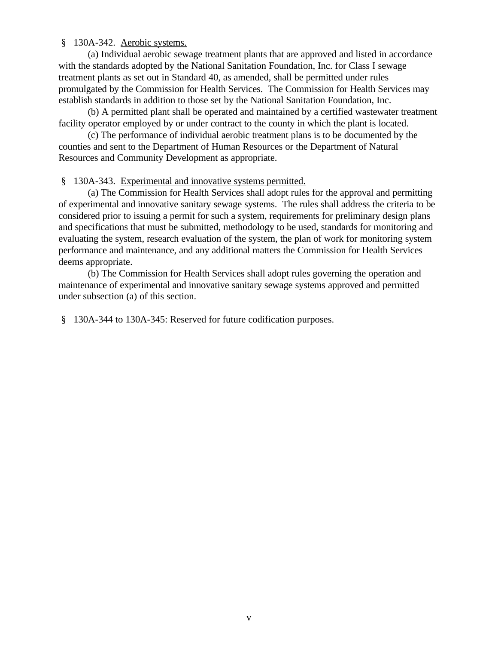### § 130A-342. Aerobic systems.

(a) Individual aerobic sewage treatment plants that are approved and listed in accordance with the standards adopted by the National Sanitation Foundation, Inc. for Class I sewage treatment plants as set out in Standard 40, as amended, shall be permitted under rules promulgated by the Commission for Health Services. The Commission for Health Services may establish standards in addition to those set by the National Sanitation Foundation, Inc.

(b) A permitted plant shall be operated and maintained by a certified wastewater treatment facility operator employed by or under contract to the county in which the plant is located.

(c) The performance of individual aerobic treatment plans is to be documented by the counties and sent to the Department of Human Resources or the Department of Natural Resources and Community Development as appropriate.

### § 130A-343. Experimental and innovative systems permitted.

(a) The Commission for Health Services shall adopt rules for the approval and permitting of experimental and innovative sanitary sewage systems. The rules shall address the criteria to be considered prior to issuing a permit for such a system, requirements for preliminary design plans and specifications that must be submitted, methodology to be used, standards for monitoring and evaluating the system, research evaluation of the system, the plan of work for monitoring system performance and maintenance, and any additional matters the Commission for Health Services deems appropriate.

(b) The Commission for Health Services shall adopt rules governing the operation and maintenance of experimental and innovative sanitary sewage systems approved and permitted under subsection (a) of this section.

§ 130A-344 to 130A-345: Reserved for future codification purposes.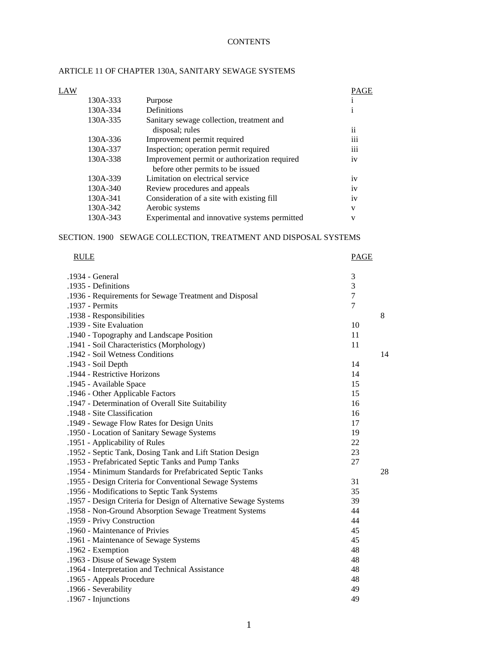### **CONTENTS**

| LAW |          |                                               | PAGE            |
|-----|----------|-----------------------------------------------|-----------------|
|     | 130A-333 | Purpose                                       |                 |
|     | 130A-334 | Definitions                                   | 1               |
|     | 130A-335 | Sanitary sewage collection, treatment and     |                 |
|     |          | disposal; rules                               | $\ddotsc$<br>11 |
|     | 130A-336 | Improvement permit required                   | $\cdots$<br>111 |
|     | 130A-337 | Inspection; operation permit required         | 111             |
|     | 130A-338 | Improvement permit or authorization required  | 1V              |
|     |          | before other permits to be issued             |                 |
|     | 130A-339 | Limitation on electrical service              | 1V              |
|     | 130A-340 | Review procedures and appeals                 | 1V              |
|     | 130A-341 | Consideration of a site with existing fill    | 1V              |
|     | 130A-342 | Aerobic systems                               | V               |
|     | 130A-343 | Experimental and innovative systems permitted | V               |
|     |          |                                               |                 |

### ARTICLE 11 OF CHAPTER 130A, SANITARY SEWAGE SYSTEMS

#### SECTION. 1900 SEWAGE COLLECTION, TREATMENT AND DISPOSAL SYSTEMS

| <b>RULE</b>                                                      | <b>PAGE</b>    |    |
|------------------------------------------------------------------|----------------|----|
| .1934 - General                                                  | 3              |    |
| .1935 - Definitions                                              | 3              |    |
| .1936 - Requirements for Sewage Treatment and Disposal           | $\overline{7}$ |    |
| .1937 - Permits                                                  | $\overline{7}$ |    |
| .1938 - Responsibilities                                         |                | 8  |
| .1939 - Site Evaluation                                          | 10             |    |
| .1940 - Topography and Landscape Position                        | 11             |    |
| .1941 - Soil Characteristics (Morphology)                        | 11             |    |
| .1942 - Soil Wetness Conditions                                  |                | 14 |
| .1943 - Soil Depth                                               | 14             |    |
| .1944 - Restrictive Horizons                                     | 14             |    |
| .1945 - Available Space                                          | 15             |    |
| .1946 - Other Applicable Factors                                 | 15             |    |
| .1947 - Determination of Overall Site Suitability                | 16             |    |
| .1948 - Site Classification                                      | 16             |    |
| .1949 - Sewage Flow Rates for Design Units                       | 17             |    |
| .1950 - Location of Sanitary Sewage Systems                      | 19             |    |
| .1951 - Applicability of Rules                                   | 22             |    |
| .1952 - Septic Tank, Dosing Tank and Lift Station Design         | 23             |    |
| .1953 - Prefabricated Septic Tanks and Pump Tanks                | 27             |    |
| .1954 - Minimum Standards for Prefabricated Septic Tanks         |                | 28 |
| .1955 - Design Criteria for Conventional Sewage Systems          | 31             |    |
| .1956 - Modifications to Septic Tank Systems                     | 35             |    |
| .1957 - Design Criteria for Design of Alternative Sewage Systems | 39             |    |
| .1958 - Non-Ground Absorption Sewage Treatment Systems           | 44             |    |
| .1959 - Privy Construction                                       | 44             |    |
| .1960 - Maintenance of Privies                                   | 45             |    |
| .1961 - Maintenance of Sewage Systems                            | 45             |    |
| .1962 - Exemption                                                | 48             |    |
| .1963 - Disuse of Sewage System                                  | 48             |    |
| .1964 - Interpretation and Technical Assistance                  | 48             |    |
| .1965 - Appeals Procedure                                        | 48             |    |
| .1966 - Severability                                             | 49             |    |
| .1967 - Injunctions                                              | 49             |    |
|                                                                  |                |    |

| .1967 - Injunctions |  |  |
|---------------------|--|--|
|                     |  |  |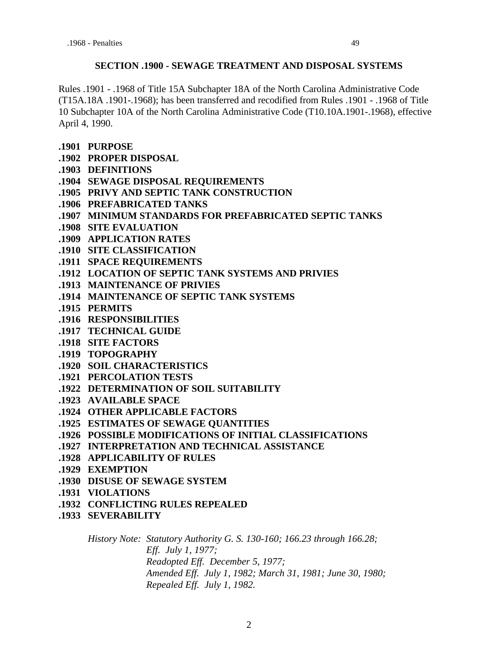### **SECTION .1900 - SEWAGE TREATMENT AND DISPOSAL SYSTEMS**

Rules .1901 - .1968 of Title 15A Subchapter 18A of the North Carolina Administrative Code (T15A.18A .1901-.1968); has been transferred and recodified from Rules .1901 - .1968 of Title 10 Subchapter 10A of the North Carolina Administrative Code (T10.10A.1901-.1968), effective April 4, 1990.

- **.1901 PURPOSE**
- **.1902 PROPER DISPOSAL**
- **.1903 DEFINITIONS**
- **.1904 SEWAGE DISPOSAL REQUIREMENTS**
- **.1905 PRIVY AND SEPTIC TANK CONSTRUCTION**
- **.1906 PREFABRICATED TANKS**
- **.1907 MINIMUM STANDARDS FOR PREFABRICATED SEPTIC TANKS**
- **.1908 SITE EVALUATION**
- **.1909 APPLICATION RATES**
- **.1910 SITE CLASSIFICATION**
- **.1911 SPACE REQUIREMENTS**
- **.1912 LOCATION OF SEPTIC TANK SYSTEMS AND PRIVIES**
- **.1913 MAINTENANCE OF PRIVIES**
- **.1914 MAINTENANCE OF SEPTIC TANK SYSTEMS**
- **.1915 PERMITS**
- **.1916 RESPONSIBILITIES**
- **.1917 TECHNICAL GUIDE**
- **.1918 SITE FACTORS**
- **.1919 TOPOGRAPHY**
- **.1920 SOIL CHARACTERISTICS**
- **.1921 PERCOLATION TESTS**
- **.1922 DETERMINATION OF SOIL SUITABILITY**
- **.1923 AVAILABLE SPACE**
- **.1924 OTHER APPLICABLE FACTORS**
- **.1925 ESTIMATES OF SEWAGE QUANTITIES**
- **.1926 POSSIBLE MODIFICATIONS OF INITIAL CLASSIFICATIONS**
- **.1927 INTERPRETATION AND TECHNICAL ASSISTANCE**
- **.1928 APPLICABILITY OF RULES**
- **.1929 EXEMPTION**
- **.1930 DISUSE OF SEWAGE SYSTEM**
- **.1931 VIOLATIONS**
- **.1932 CONFLICTING RULES REPEALED**
- **.1933 SEVERABILITY**

*History Note: Statutory Authority G. S. 130-160; 166.23 through 166.28; Eff. July 1, 1977; Readopted Eff. December 5, 1977; Amended Eff. July 1, 1982; March 31, 1981; June 30, 1980; Repealed Eff. July 1, 1982.*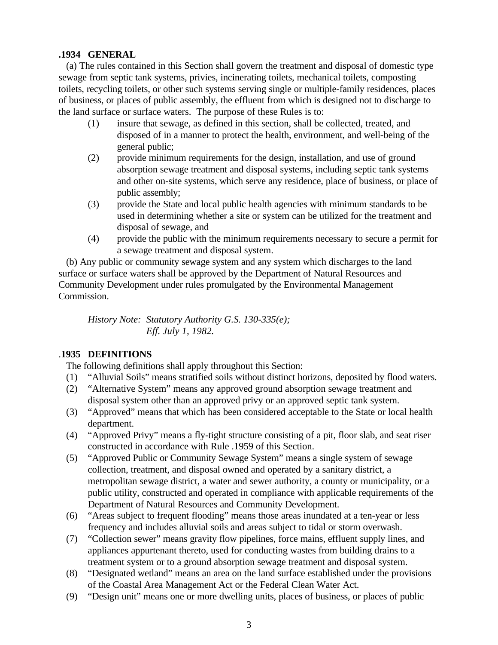### **.1934 GENERAL**

 (a) The rules contained in this Section shall govern the treatment and disposal of domestic type sewage from septic tank systems, privies, incinerating toilets, mechanical toilets, composting toilets, recycling toilets, or other such systems serving single or multiple-family residences, places of business, or places of public assembly, the effluent from which is designed not to discharge to the land surface or surface waters. The purpose of these Rules is to:

- (1) insure that sewage, as defined in this section, shall be collected, treated, and disposed of in a manner to protect the health, environment, and well-being of the general public;
- (2) provide minimum requirements for the design, installation, and use of ground absorption sewage treatment and disposal systems, including septic tank systems and other on-site systems, which serve any residence, place of business, or place of public assembly;
- (3) provide the State and local public health agencies with minimum standards to be used in determining whether a site or system can be utilized for the treatment and disposal of sewage, and
- (4) provide the public with the minimum requirements necessary to secure a permit for a sewage treatment and disposal system.

 (b) Any public or community sewage system and any system which discharges to the land surface or surface waters shall be approved by the Department of Natural Resources and Community Development under rules promulgated by the Environmental Management Commission.

*History Note: Statutory Authority G.S. 130-335(e); Eff. July 1, 1982.*

# .**1935 DEFINITIONS**

The following definitions shall apply throughout this Section:

- (1) "Alluvial Soils" means stratified soils without distinct horizons, deposited by flood waters.
- (2) "Alternative System" means any approved ground absorption sewage treatment and disposal system other than an approved privy or an approved septic tank system.
- (3) "Approved" means that which has been considered acceptable to the State or local health department.
- (4) "Approved Privy" means a fly-tight structure consisting of a pit, floor slab, and seat riser constructed in accordance with Rule .1959 of this Section.
- (5) "Approved Public or Community Sewage System" means a single system of sewage collection, treatment, and disposal owned and operated by a sanitary district, a metropolitan sewage district, a water and sewer authority, a county or municipality, or a public utility, constructed and operated in compliance with applicable requirements of the Department of Natural Resources and Community Development.
- (6) "Areas subject to frequent flooding" means those areas inundated at a ten-year or less frequency and includes alluvial soils and areas subject to tidal or storm overwash.
- (7) "Collection sewer" means gravity flow pipelines, force mains, effluent supply lines, and appliances appurtenant thereto, used for conducting wastes from building drains to a treatment system or to a ground absorption sewage treatment and disposal system.
- (8) "Designated wetland" means an area on the land surface established under the provisions of the Coastal Area Management Act or the Federal Clean Water Act.
- (9) "Design unit" means one or more dwelling units, places of business, or places of public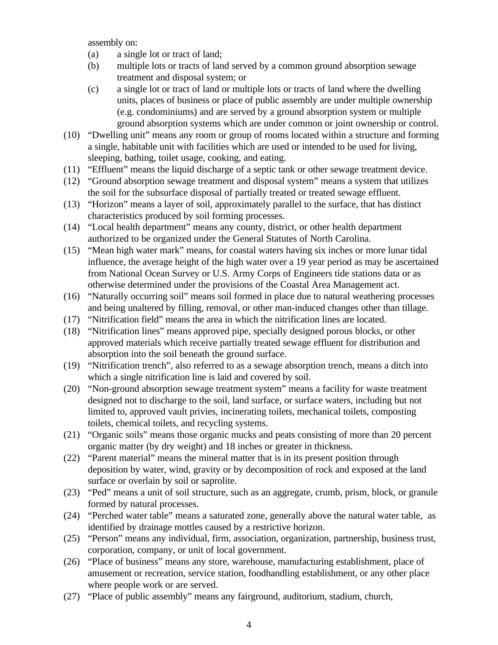assembly on:

- (a) a single lot or tract of land;
- (b) multiple lots or tracts of land served by a common ground absorption sewage treatment and disposal system; or
- (c) a single lot or tract of land or multiple lots or tracts of land where the dwelling units, places of business or place of public assembly are under multiple ownership (e.g. condominiums) and are served by a ground absorption system or multiple ground absorption systems which are under common or joint ownership or control.
- (10) "Dwelling unit" means any room or group of rooms located within a structure and forming a single, habitable unit with facilities which are used or intended to be used for living, sleeping, bathing, toilet usage, cooking, and eating.
- (11) "Effluent" means the liquid discharge of a septic tank or other sewage treatment device.
- (12) "Ground absorption sewage treatment and disposal system" means a system that utilizes the soil for the subsurface disposal of partially treated or treated sewage effluent.
- (13) "Horizon" means a layer of soil, approximately parallel to the surface, that has distinct characteristics produced by soil forming processes.
- (14) "Local health department" means any county, district, or other health department authorized to be organized under the General Statutes of North Carolina.
- (15) "Mean high water mark" means, for coastal waters having six inches or more lunar tidal influence, the average height of the high water over a 19 year period as may be ascertained from National Ocean Survey or U.S. Army Corps of Engineers tide stations data or as otherwise determined under the provisions of the Coastal Area Management act.
- (16) "Naturally occurring soil" means soil formed in place due to natural weathering processes and being unaltered by filling, removal, or other man-induced changes other than tillage.
- (17) "Nitrification field" means the area in which the nitrification lines are located.
- (18) "Nitrification lines" means approved pipe, specially designed porous blocks, or other approved materials which receive partially treated sewage effluent for distribution and absorption into the soil beneath the ground surface.
- (19) "Nitrification trench", also referred to as a sewage absorption trench, means a ditch into which a single nitrification line is laid and covered by soil.
- (20) "Non-ground absorption sewage treatment system" means a facility for waste treatment designed not to discharge to the soil, land surface, or surface waters, including but not limited to, approved vault privies, incinerating toilets, mechanical toilets, composting toilets, chemical toilets, and recycling systems.
- (21) "Organic soils" means those organic mucks and peats consisting of more than 20 percent organic matter (by dry weight) and 18 inches or greater in thickness.
- (22) "Parent material" means the mineral matter that is in its present position through deposition by water, wind, gravity or by decomposition of rock and exposed at the land surface or overlain by soil or saprolite.
- (23) "Ped" means a unit of soil structure, such as an aggregate, crumb, prism, block, or granule formed by natural processes.
- (24) "Perched water table" means a saturated zone, generally above the natural water table, as identified by drainage mottles caused by a restrictive horizon.
- (25) "Person" means any individual, firm, association, organization, partnership, business trust, corporation, company, or unit of local government.
- (26) "Place of business" means any store, warehouse, manufacturing establishment, place of amusement or recreation, service station, foodhandling establishment, or any other place where people work or are served.
- (27) "Place of public assembly" means any fairground, auditorium, stadium, church,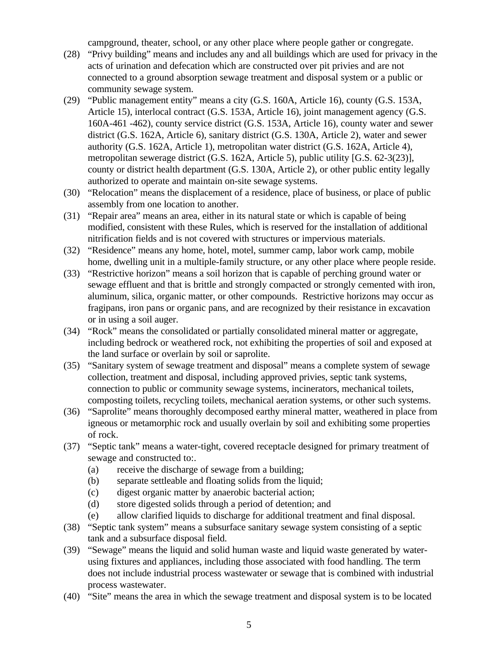campground, theater, school, or any other place where people gather or congregate.

- (28) "Privy building" means and includes any and all buildings which are used for privacy in the acts of urination and defecation which are constructed over pit privies and are not connected to a ground absorption sewage treatment and disposal system or a public or community sewage system.
- (29) "Public management entity" means a city (G.S. 160A, Article 16), county (G.S. 153A, Article 15), interlocal contract (G.S. 153A, Article 16), joint management agency (G.S. 160A-461 -462), county service district (G.S. 153A, Article 16), county water and sewer district (G.S. 162A, Article 6), sanitary district (G.S. 130A, Article 2), water and sewer authority (G.S. 162A, Article 1), metropolitan water district (G.S. 162A, Article 4), metropolitan sewerage district (G.S. 162A, Article 5), public utility [G.S. 62-3(23)], county or district health department (G.S. 130A, Article 2), or other public entity legally authorized to operate and maintain on-site sewage systems.
- (30) "Relocation" means the displacement of a residence, place of business, or place of public assembly from one location to another.
- (31) "Repair area" means an area, either in its natural state or which is capable of being modified, consistent with these Rules, which is reserved for the installation of additional nitrification fields and is not covered with structures or impervious materials.
- (32) "Residence" means any home, hotel, motel, summer camp, labor work camp, mobile home, dwelling unit in a multiple-family structure, or any other place where people reside.
- (33) "Restrictive horizon" means a soil horizon that is capable of perching ground water or sewage effluent and that is brittle and strongly compacted or strongly cemented with iron, aluminum, silica, organic matter, or other compounds. Restrictive horizons may occur as fragipans, iron pans or organic pans, and are recognized by their resistance in excavation or in using a soil auger.
- (34) "Rock" means the consolidated or partially consolidated mineral matter or aggregate, including bedrock or weathered rock, not exhibiting the properties of soil and exposed at the land surface or overlain by soil or saprolite.
- (35) "Sanitary system of sewage treatment and disposal" means a complete system of sewage collection, treatment and disposal, including approved privies, septic tank systems, connection to public or community sewage systems, incinerators, mechanical toilets, composting toilets, recycling toilets, mechanical aeration systems, or other such systems.
- (36) "Saprolite" means thoroughly decomposed earthy mineral matter, weathered in place from igneous or metamorphic rock and usually overlain by soil and exhibiting some properties of rock.
- (37) "Septic tank" means a water-tight, covered receptacle designed for primary treatment of sewage and constructed to:.
	- (a) receive the discharge of sewage from a building;
	- (b) separate settleable and floating solids from the liquid;
	- (c) digest organic matter by anaerobic bacterial action;
	- (d) store digested solids through a period of detention; and
	- (e) allow clarified liquids to discharge for additional treatment and final disposal.
- (38) "Septic tank system" means a subsurface sanitary sewage system consisting of a septic tank and a subsurface disposal field.
- (39) "Sewage" means the liquid and solid human waste and liquid waste generated by waterusing fixtures and appliances, including those associated with food handling. The term does not include industrial process wastewater or sewage that is combined with industrial process wastewater.
- (40) "Site" means the area in which the sewage treatment and disposal system is to be located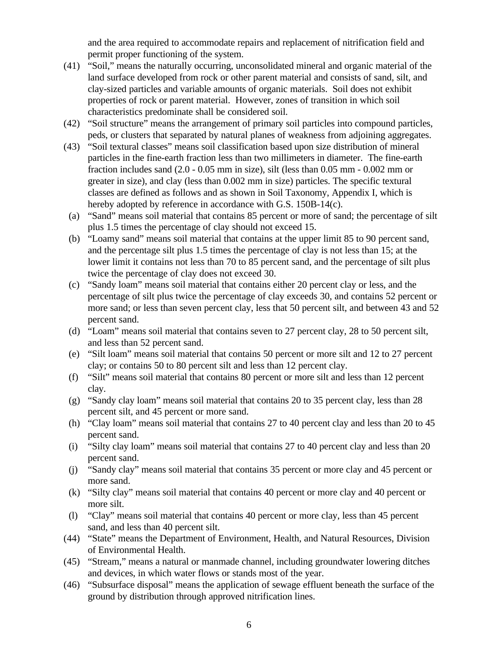and the area required to accommodate repairs and replacement of nitrification field and permit proper functioning of the system.

- (41) "Soil," means the naturally occurring, unconsolidated mineral and organic material of the land surface developed from rock or other parent material and consists of sand, silt, and clay-sized particles and variable amounts of organic materials. Soil does not exhibit properties of rock or parent material. However, zones of transition in which soil characteristics predominate shall be considered soil.
- (42) "Soil structure" means the arrangement of primary soil particles into compound particles, peds, or clusters that separated by natural planes of weakness from adjoining aggregates.
- (43) "Soil textural classes" means soil classification based upon size distribution of mineral particles in the fine-earth fraction less than two millimeters in diameter. The fine-earth fraction includes sand (2.0 - 0.05 mm in size), silt (less than 0.05 mm - 0.002 mm or greater in size), and clay (less than 0.002 mm in size) particles. The specific textural classes are defined as follows and as shown in Soil Taxonomy, Appendix I, which is hereby adopted by reference in accordance with G.S. 150B-14(c).
- (a) "Sand" means soil material that contains 85 percent or more of sand; the percentage of silt plus 1.5 times the percentage of clay should not exceed 15.
- (b) "Loamy sand" means soil material that contains at the upper limit 85 to 90 percent sand, and the percentage silt plus 1.5 times the percentage of clay is not less than 15; at the lower limit it contains not less than 70 to 85 percent sand, and the percentage of silt plus twice the percentage of clay does not exceed 30.
- (c) "Sandy loam" means soil material that contains either 20 percent clay or less, and the percentage of silt plus twice the percentage of clay exceeds 30, and contains 52 percent or more sand; or less than seven percent clay, less that 50 percent silt, and between 43 and 52 percent sand.
- (d) "Loam" means soil material that contains seven to 27 percent clay, 28 to 50 percent silt, and less than 52 percent sand.
- (e) "Silt loam" means soil material that contains 50 percent or more silt and 12 to 27 percent clay; or contains 50 to 80 percent silt and less than 12 percent clay.
- (f) "Silt" means soil material that contains 80 percent or more silt and less than 12 percent clay.
- (g) "Sandy clay loam" means soil material that contains 20 to 35 percent clay, less than 28 percent silt, and 45 percent or more sand.
- (h) "Clay loam" means soil material that contains 27 to 40 percent clay and less than 20 to 45 percent sand.
- (i) "Silty clay loam" means soil material that contains 27 to 40 percent clay and less than 20 percent sand.
- (j) "Sandy clay" means soil material that contains 35 percent or more clay and 45 percent or more sand.
- (k) "Silty clay" means soil material that contains 40 percent or more clay and 40 percent or more silt.
- (l) "Clay" means soil material that contains 40 percent or more clay, less than 45 percent sand, and less than 40 percent silt.
- (44) "State" means the Department of Environment, Health, and Natural Resources, Division of Environmental Health.
- (45) "Stream," means a natural or manmade channel, including groundwater lowering ditches and devices, in which water flows or stands most of the year.
- (46) "Subsurface disposal" means the application of sewage effluent beneath the surface of the ground by distribution through approved nitrification lines.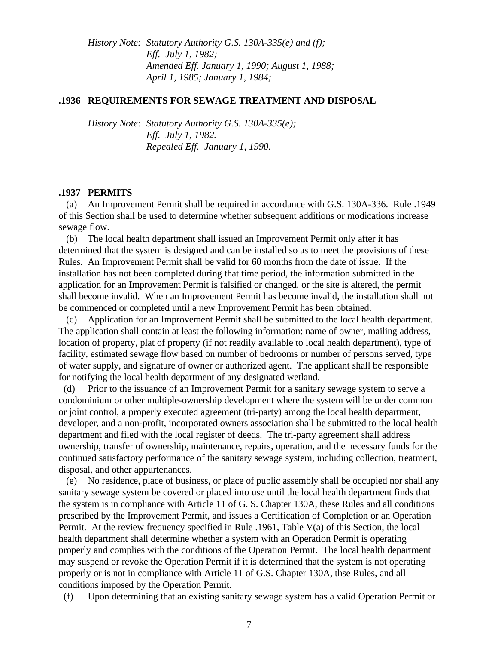*History Note: Statutory Authority G.S. 130A-335(e) and (f); Eff. July 1, 1982; Amended Eff. January 1, 1990; August 1, 1988; April 1, 1985; January 1, 1984;* 

### **.1936 REQUIREMENTS FOR SEWAGE TREATMENT AND DISPOSAL**

*History Note: Statutory Authority G.S. 130A-335(e); Eff. July 1, 1982. Repealed Eff. January 1, 1990.*

### **.1937 PERMITS**

 (a) An Improvement Permit shall be required in accordance with G.S. 130A-336. Rule .1949 of this Section shall be used to determine whether subsequent additions or modications increase sewage flow.

 (b) The local health department shall issued an Improvement Permit only after it has determined that the system is designed and can be installed so as to meet the provisions of these Rules. An Improvement Permit shall be valid for 60 months from the date of issue. If the installation has not been completed during that time period, the information submitted in the application for an Improvement Permit is falsified or changed, or the site is altered, the permit shall become invalid. When an Improvement Permit has become invalid, the installation shall not be commenced or completed until a new Improvement Permit has been obtained.

 (c) Application for an Improvement Permit shall be submitted to the local health department. The application shall contain at least the following information: name of owner, mailing address, location of property, plat of property (if not readily available to local health department), type of facility, estimated sewage flow based on number of bedrooms or number of persons served, type of water supply, and signature of owner or authorized agent. The applicant shall be responsible for notifying the local health department of any designated wetland.

 (d) Prior to the issuance of an Improvement Permit for a sanitary sewage system to serve a condominium or other multiple-ownership development where the system will be under common or joint control, a properly executed agreement (tri-party) among the local health department, developer, and a non-profit, incorporated owners association shall be submitted to the local health department and filed with the local register of deeds. The tri-party agreement shall address ownership, transfer of ownership, maintenance, repairs, operation, and the necessary funds for the continued satisfactory performance of the sanitary sewage system, including collection, treatment, disposal, and other appurtenances.

 (e) No residence, place of business, or place of public assembly shall be occupied nor shall any sanitary sewage system be covered or placed into use until the local health department finds that the system is in compliance with Article 11 of G. S. Chapter 130A, these Rules and all conditions prescribed by the Improvement Permit, and issues a Certification of Completion or an Operation Permit. At the review frequency specified in Rule .1961, Table V(a) of this Section, the local health department shall determine whether a system with an Operation Permit is operating properly and complies with the conditions of the Operation Permit. The local health department may suspend or revoke the Operation Permit if it is determined that the system is not operating properly or is not in compliance with Article 11 of G.S. Chapter 130A, thse Rules, and all conditions imposed by the Operation Permit.

(f) Upon determining that an existing sanitary sewage system has a valid Operation Permit or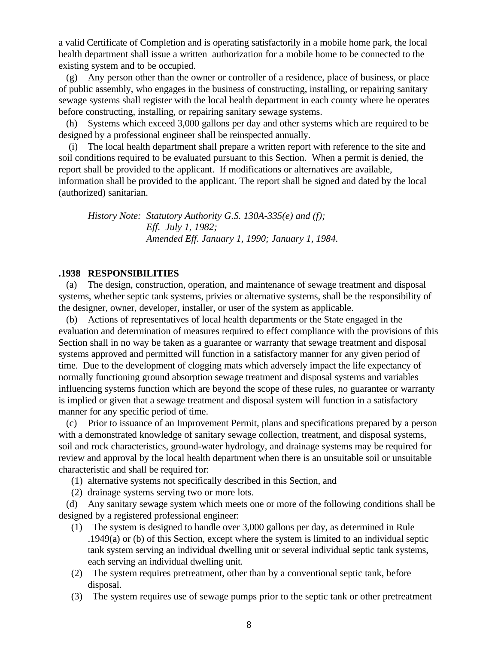a valid Certificate of Completion and is operating satisfactorily in a mobile home park, the local health department shall issue a written authorization for a mobile home to be connected to the existing system and to be occupied.

 (g) Any person other than the owner or controller of a residence, place of business, or place of public assembly, who engages in the business of constructing, installing, or repairing sanitary sewage systems shall register with the local health department in each county where he operates before constructing, installing, or repairing sanitary sewage systems.

 (h) Systems which exceed 3,000 gallons per day and other systems which are required to be designed by a professional engineer shall be reinspected annually.

 (i) The local health department shall prepare a written report with reference to the site and soil conditions required to be evaluated pursuant to this Section. When a permit is denied, the report shall be provided to the applicant. If modifications or alternatives are available, information shall be provided to the applicant. The report shall be signed and dated by the local (authorized) sanitarian.

*History Note: Statutory Authority G.S. 130A-335(e) and (f); Eff. July 1, 1982; Amended Eff. January 1, 1990; January 1, 1984.*

#### **.1938 RESPONSIBILITIES**

 (a) The design, construction, operation, and maintenance of sewage treatment and disposal systems, whether septic tank systems, privies or alternative systems, shall be the responsibility of the designer, owner, developer, installer, or user of the system as applicable.

 (b) Actions of representatives of local health departments or the State engaged in the evaluation and determination of measures required to effect compliance with the provisions of this Section shall in no way be taken as a guarantee or warranty that sewage treatment and disposal systems approved and permitted will function in a satisfactory manner for any given period of time. Due to the development of clogging mats which adversely impact the life expectancy of normally functioning ground absorption sewage treatment and disposal systems and variables influencing systems function which are beyond the scope of these rules, no guarantee or warranty is implied or given that a sewage treatment and disposal system will function in a satisfactory manner for any specific period of time.

 (c) Prior to issuance of an Improvement Permit, plans and specifications prepared by a person with a demonstrated knowledge of sanitary sewage collection, treatment, and disposal systems, soil and rock characteristics, ground-water hydrology, and drainage systems may be required for review and approval by the local health department when there is an unsuitable soil or unsuitable characteristic and shall be required for:

(1) alternative systems not specifically described in this Section, and

(2) drainage systems serving two or more lots.

 (d) Any sanitary sewage system which meets one or more of the following conditions shall be designed by a registered professional engineer:

- (1) The system is designed to handle over 3,000 gallons per day, as determined in Rule .1949(a) or (b) of this Section, except where the system is limited to an individual septic tank system serving an individual dwelling unit or several individual septic tank systems, each serving an individual dwelling unit.
- (2) The system requires pretreatment, other than by a conventional septic tank, before disposal.
- (3) The system requires use of sewage pumps prior to the septic tank or other pretreatment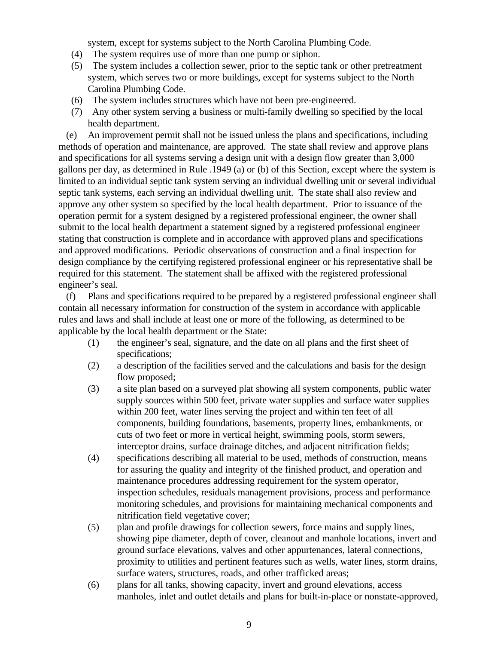system, except for systems subject to the North Carolina Plumbing Code.

- (4) The system requires use of more than one pump or siphon.
- (5) The system includes a collection sewer, prior to the septic tank or other pretreatment system, which serves two or more buildings, except for systems subject to the North Carolina Plumbing Code.
- (6) The system includes structures which have not been pre-engineered.
- (7) Any other system serving a business or multi-family dwelling so specified by the local health department.

 (e) An improvement permit shall not be issued unless the plans and specifications, including methods of operation and maintenance, are approved. The state shall review and approve plans and specifications for all systems serving a design unit with a design flow greater than 3,000 gallons per day, as determined in Rule .1949 (a) or (b) of this Section, except where the system is limited to an individual septic tank system serving an individual dwelling unit or several individual septic tank systems, each serving an individual dwelling unit. The state shall also review and approve any other system so specified by the local health department. Prior to issuance of the operation permit for a system designed by a registered professional engineer, the owner shall submit to the local health department a statement signed by a registered professional engineer stating that construction is complete and in accordance with approved plans and specifications and approved modifications. Periodic observations of construction and a final inspection for design compliance by the certifying registered professional engineer or his representative shall be required for this statement. The statement shall be affixed with the registered professional engineer's seal.

 (f) Plans and specifications required to be prepared by a registered professional engineer shall contain all necessary information for construction of the system in accordance with applicable rules and laws and shall include at least one or more of the following, as determined to be applicable by the local health department or the State:

- (1) the engineer's seal, signature, and the date on all plans and the first sheet of specifications;
- (2) a description of the facilities served and the calculations and basis for the design flow proposed;
- (3) a site plan based on a surveyed plat showing all system components, public water supply sources within 500 feet, private water supplies and surface water supplies within 200 feet, water lines serving the project and within ten feet of all components, building foundations, basements, property lines, embankments, or cuts of two feet or more in vertical height, swimming pools, storm sewers, interceptor drains, surface drainage ditches, and adjacent nitrification fields;
- (4) specifications describing all material to be used, methods of construction, means for assuring the quality and integrity of the finished product, and operation and maintenance procedures addressing requirement for the system operator, inspection schedules, residuals management provisions, process and performance monitoring schedules, and provisions for maintaining mechanical components and nitrification field vegetative cover;
- (5) plan and profile drawings for collection sewers, force mains and supply lines, showing pipe diameter, depth of cover, cleanout and manhole locations, invert and ground surface elevations, valves and other appurtenances, lateral connections, proximity to utilities and pertinent features such as wells, water lines, storm drains, surface waters, structures, roads, and other trafficked areas;
- (6) plans for all tanks, showing capacity, invert and ground elevations, access manholes, inlet and outlet details and plans for built-in-place or nonstate-approved,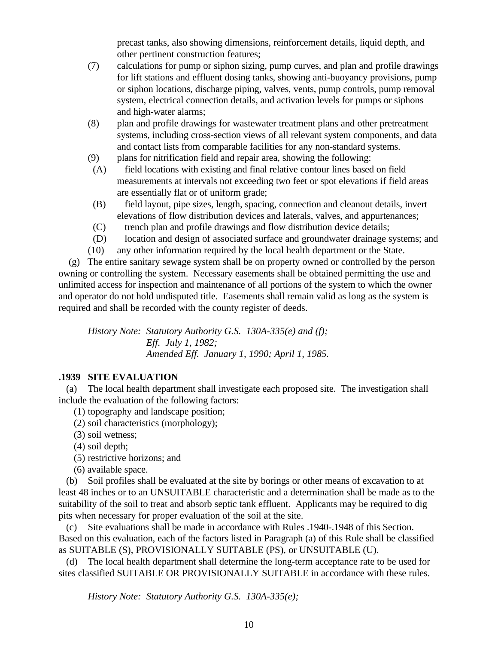precast tanks, also showing dimensions, reinforcement details, liquid depth, and other pertinent construction features;

- (7) calculations for pump or siphon sizing, pump curves, and plan and profile drawings for lift stations and effluent dosing tanks, showing anti-buoyancy provisions, pump or siphon locations, discharge piping, valves, vents, pump controls, pump removal system, electrical connection details, and activation levels for pumps or siphons and high-water alarms;
- (8) plan and profile drawings for wastewater treatment plans and other pretreatment systems, including cross-section views of all relevant system components, and data and contact lists from comparable facilities for any non-standard systems.
- (9) plans for nitrification field and repair area, showing the following:
- (A) field locations with existing and final relative contour lines based on field measurements at intervals not exceeding two feet or spot elevations if field areas are essentially flat or of uniform grade;
- (B) field layout, pipe sizes, length, spacing, connection and cleanout details, invert elevations of flow distribution devices and laterals, valves, and appurtenances;
- (C) trench plan and profile drawings and flow distribution device details;
- (D) location and design of associated surface and groundwater drainage systems; and
- (10) any other information required by the local health department or the State.

 (g) The entire sanitary sewage system shall be on property owned or controlled by the person owning or controlling the system. Necessary easements shall be obtained permitting the use and unlimited access for inspection and maintenance of all portions of the system to which the owner and operator do not hold undisputed title. Easements shall remain valid as long as the system is required and shall be recorded with the county register of deeds.

*History Note: Statutory Authority G.S. 130A-335(e) and (f); Eff. July 1, 1982; Amended Eff. January 1, 1990; April 1, 1985.*

# **.1939 SITE EVALUATION**

 (a) The local health department shall investigate each proposed site. The investigation shall include the evaluation of the following factors:

- (1) topography and landscape position;
- (2) soil characteristics (morphology);
- (3) soil wetness;
- (4) soil depth;
- (5) restrictive horizons; and
- (6) available space.

 (b) Soil profiles shall be evaluated at the site by borings or other means of excavation to at least 48 inches or to an UNSUITABLE characteristic and a determination shall be made as to the suitability of the soil to treat and absorb septic tank effluent. Applicants may be required to dig pits when necessary for proper evaluation of the soil at the site.

 (c) Site evaluations shall be made in accordance with Rules .1940-.1948 of this Section. Based on this evaluation, each of the factors listed in Paragraph (a) of this Rule shall be classified as SUITABLE (S), PROVISIONALLY SUITABLE (PS), or UNSUITABLE (U).

 (d) The local health department shall determine the long-term acceptance rate to be used for sites classified SUITABLE OR PROVISIONALLY SUITABLE in accordance with these rules.

*History Note: Statutory Authority G.S. 130A-335(e);*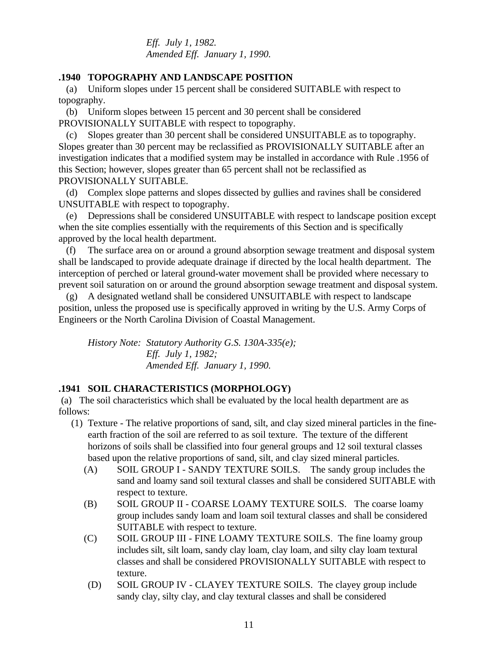*Eff. July 1, 1982. Amended Eff. January 1, 1990.*

### **.1940 TOPOGRAPHY AND LANDSCAPE POSITION**

 (a) Uniform slopes under 15 percent shall be considered SUITABLE with respect to topography.

 (b) Uniform slopes between 15 percent and 30 percent shall be considered PROVISIONALLY SUITABLE with respect to topography.

 (c) Slopes greater than 30 percent shall be considered UNSUITABLE as to topography. Slopes greater than 30 percent may be reclassified as PROVISIONALLY SUITABLE after an investigation indicates that a modified system may be installed in accordance with Rule .1956 of this Section; however, slopes greater than 65 percent shall not be reclassified as PROVISIONALLY SUITABLE.

 (d) Complex slope patterns and slopes dissected by gullies and ravines shall be considered UNSUITABLE with respect to topography.

 (e) Depressions shall be considered UNSUITABLE with respect to landscape position except when the site complies essentially with the requirements of this Section and is specifically approved by the local health department.

 (f) The surface area on or around a ground absorption sewage treatment and disposal system shall be landscaped to provide adequate drainage if directed by the local health department. The interception of perched or lateral ground-water movement shall be provided where necessary to prevent soil saturation on or around the ground absorption sewage treatment and disposal system.

 (g) A designated wetland shall be considered UNSUITABLE with respect to landscape position, unless the proposed use is specifically approved in writing by the U.S. Army Corps of Engineers or the North Carolina Division of Coastal Management.

*History Note: Statutory Authority G.S. 130A-335(e); Eff. July 1, 1982; Amended Eff. January 1, 1990.*

### **.1941 SOIL CHARACTERISTICS (MORPHOLOGY)**

 (a) The soil characteristics which shall be evaluated by the local health department are as follows:

- (1) Texture The relative proportions of sand, silt, and clay sized mineral particles in the fineearth fraction of the soil are referred to as soil texture. The texture of the different horizons of soils shall be classified into four general groups and 12 soil textural classes based upon the relative proportions of sand, silt, and clay sized mineral particles.
	- (A) SOIL GROUP I SANDY TEXTURE SOILS. The sandy group includes the sand and loamy sand soil textural classes and shall be considered SUITABLE with respect to texture.
	- (B) SOIL GROUP II COARSE LOAMY TEXTURE SOILS. The coarse loamy group includes sandy loam and loam soil textural classes and shall be considered SUITABLE with respect to texture.
	- (C) SOIL GROUP III FINE LOAMY TEXTURE SOILS. The fine loamy group includes silt, silt loam, sandy clay loam, clay loam, and silty clay loam textural classes and shall be considered PROVISIONALLY SUITABLE with respect to texture.
	- (D) SOIL GROUP IV CLAYEY TEXTURE SOILS. The clayey group include sandy clay, silty clay, and clay textural classes and shall be considered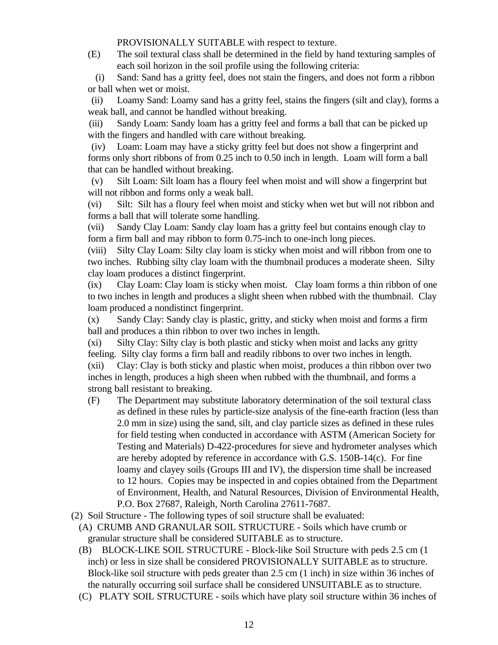PROVISIONALLY SUITABLE with respect to texture.

(E) The soil textural class shall be determined in the field by hand texturing samples of each soil horizon in the soil profile using the following criteria:

 (i) Sand: Sand has a gritty feel, does not stain the fingers, and does not form a ribbon or ball when wet or moist.

 (ii) Loamy Sand: Loamy sand has a gritty feel, stains the fingers (silt and clay), forms a weak ball, and cannot be handled without breaking.

 (iii) Sandy Loam: Sandy loam has a gritty feel and forms a ball that can be picked up with the fingers and handled with care without breaking.

 (iv) Loam: Loam may have a sticky gritty feel but does not show a fingerprint and forms only short ribbons of from 0.25 inch to 0.50 inch in length. Loam will form a ball that can be handled without breaking.

 (v) Silt Loam: Silt loam has a floury feel when moist and will show a fingerprint but will not ribbon and forms only a weak ball.

(vi) Silt: Silt has a floury feel when moist and sticky when wet but will not ribbon and forms a ball that will tolerate some handling.

(vii) Sandy Clay Loam: Sandy clay loam has a gritty feel but contains enough clay to form a firm ball and may ribbon to form 0.75-inch to one-inch long pieces.

(viii) Silty Clay Loam: Silty clay loam is sticky when moist and will ribbon from one to two inches. Rubbing silty clay loam with the thumbnail produces a moderate sheen. Silty clay loam produces a distinct fingerprint.

(ix) Clay Loam: Clay loam is sticky when moist. Clay loam forms a thin ribbon of one to two inches in length and produces a slight sheen when rubbed with the thumbnail. Clay loam produced a nondistinct fingerprint.

(x) Sandy Clay: Sandy clay is plastic, gritty, and sticky when moist and forms a firm ball and produces a thin ribbon to over two inches in length.

(xi) Silty Clay: Silty clay is both plastic and sticky when moist and lacks any gritty feeling. Silty clay forms a firm ball and readily ribbons to over two inches in length.

(xii) Clay: Clay is both sticky and plastic when moist, produces a thin ribbon over two inches in length, produces a high sheen when rubbed with the thumbnail, and forms a strong ball resistant to breaking.

- (F) The Department may substitute laboratory determination of the soil textural class as defined in these rules by particle-size analysis of the fine-earth fraction (less than 2.0 mm in size) using the sand, silt, and clay particle sizes as defined in these rules for field testing when conducted in accordance with ASTM (American Society for Testing and Materials) D-422-procedures for sieve and hydrometer analyses which are hereby adopted by reference in accordance with G.S. 150B-14(c). For fine loamy and clayey soils (Groups III and IV), the dispersion time shall be increased to 12 hours. Copies may be inspected in and copies obtained from the Department of Environment, Health, and Natural Resources, Division of Environmental Health, P.O. Box 27687, Raleigh, North Carolina 27611-7687.
- (2) Soil Structure The following types of soil structure shall be evaluated:
	- (A) CRUMB AND GRANULAR SOIL STRUCTURE Soils which have crumb or granular structure shall be considered SUITABLE as to structure.
	- (B) BLOCK-LIKE SOIL STRUCTURE Block-like Soil Structure with peds 2.5 cm (1 inch) or less in size shall be considered PROVISIONALLY SUITABLE as to structure. Block-like soil structure with peds greater than 2.5 cm (1 inch) in size within 36 inches of the naturally occurring soil surface shall be considered UNSUITABLE as to structure.
	- (C) PLATY SOIL STRUCTURE soils which have platy soil structure within 36 inches of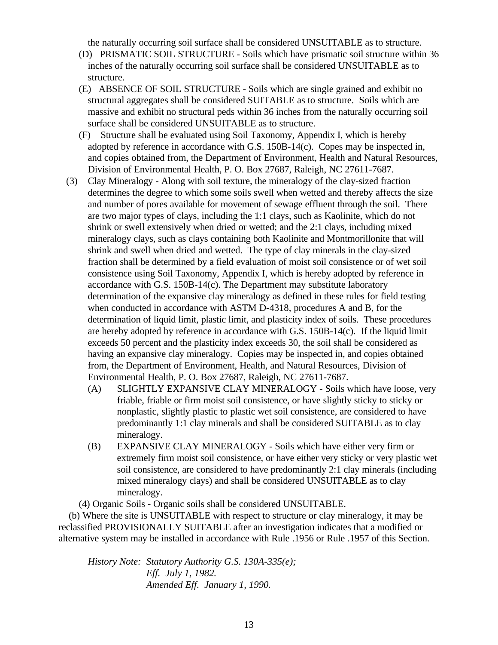the naturally occurring soil surface shall be considered UNSUITABLE as to structure.

- (D) PRISMATIC SOIL STRUCTURE Soils which have prismatic soil structure within 36 inches of the naturally occurring soil surface shall be considered UNSUITABLE as to structure.
- (E) ABSENCE OF SOIL STRUCTURE Soils which are single grained and exhibit no structural aggregates shall be considered SUITABLE as to structure. Soils which are massive and exhibit no structural peds within 36 inches from the naturally occurring soil surface shall be considered UNSUITABLE as to structure.
- (F) Structure shall be evaluated using Soil Taxonomy, Appendix I, which is hereby adopted by reference in accordance with G.S. 150B-14(c). Copes may be inspected in, and copies obtained from, the Department of Environment, Health and Natural Resources, Division of Environmental Health, P. O. Box 27687, Raleigh, NC 27611-7687.
- (3) Clay Mineralogy Along with soil texture, the mineralogy of the clay-sized fraction determines the degree to which some soils swell when wetted and thereby affects the size and number of pores available for movement of sewage effluent through the soil. There are two major types of clays, including the 1:1 clays, such as Kaolinite, which do not shrink or swell extensively when dried or wetted; and the 2:1 clays, including mixed mineralogy clays, such as clays containing both Kaolinite and Montmorillonite that will shrink and swell when dried and wetted. The type of clay minerals in the clay-sized fraction shall be determined by a field evaluation of moist soil consistence or of wet soil consistence using Soil Taxonomy, Appendix I, which is hereby adopted by reference in accordance with G.S. 150B-14(c). The Department may substitute laboratory determination of the expansive clay mineralogy as defined in these rules for field testing when conducted in accordance with ASTM D-4318, procedures A and B, for the determination of liquid limit, plastic limit, and plasticity index of soils. These procedures are hereby adopted by reference in accordance with G.S. 150B-14(c). If the liquid limit exceeds 50 percent and the plasticity index exceeds 30, the soil shall be considered as having an expansive clay mineralogy. Copies may be inspected in, and copies obtained from, the Department of Environment, Health, and Natural Resources, Division of Environmental Health, P. O. Box 27687, Raleigh, NC 27611-7687.
	- (A) SLIGHTLY EXPANSIVE CLAY MINERALOGY Soils which have loose, very friable, friable or firm moist soil consistence, or have slightly sticky to sticky or nonplastic, slightly plastic to plastic wet soil consistence, are considered to have predominantly 1:1 clay minerals and shall be considered SUITABLE as to clay mineralogy.
	- (B) EXPANSIVE CLAY MINERALOGY Soils which have either very firm or extremely firm moist soil consistence, or have either very sticky or very plastic wet soil consistence, are considered to have predominantly 2:1 clay minerals (including mixed mineralogy clays) and shall be considered UNSUITABLE as to clay mineralogy.

(4) Organic Soils - Organic soils shall be considered UNSUITABLE.

 (b) Where the site is UNSUITABLE with respect to structure or clay mineralogy, it may be reclassified PROVISIONALLY SUITABLE after an investigation indicates that a modified or alternative system may be installed in accordance with Rule .1956 or Rule .1957 of this Section.

*History Note: Statutory Authority G.S. 130A-335(e); Eff. July 1, 1982. Amended Eff. January 1, 1990.*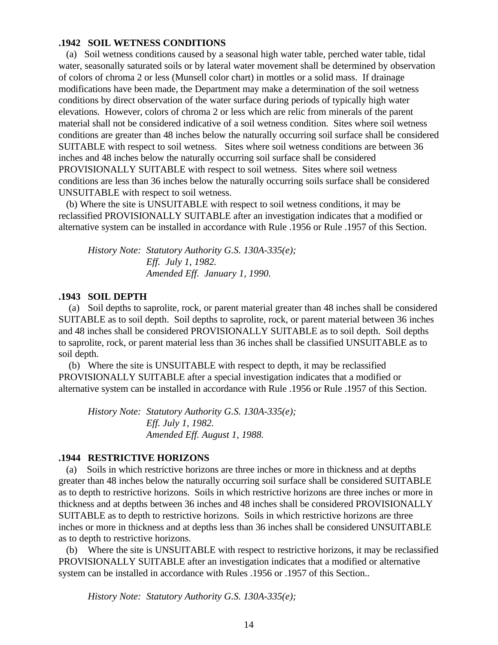#### **.1942 SOIL WETNESS CONDITIONS**

 (a) Soil wetness conditions caused by a seasonal high water table, perched water table, tidal water, seasonally saturated soils or by lateral water movement shall be determined by observation of colors of chroma 2 or less (Munsell color chart) in mottles or a solid mass. If drainage modifications have been made, the Department may make a determination of the soil wetness conditions by direct observation of the water surface during periods of typically high water elevations. However, colors of chroma 2 or less which are relic from minerals of the parent material shall not be considered indicative of a soil wetness condition. Sites where soil wetness conditions are greater than 48 inches below the naturally occurring soil surface shall be considered SUITABLE with respect to soil wetness. Sites where soil wetness conditions are between 36 inches and 48 inches below the naturally occurring soil surface shall be considered PROVISIONALLY SUITABLE with respect to soil wetness. Sites where soil wetness conditions are less than 36 inches below the naturally occurring soils surface shall be considered UNSUITABLE with respect to soil wetness.

 (b) Where the site is UNSUITABLE with respect to soil wetness conditions, it may be reclassified PROVISIONALLY SUITABLE after an investigation indicates that a modified or alternative system can be installed in accordance with Rule .1956 or Rule .1957 of this Section.

*History Note: Statutory Authority G.S. 130A-335(e); Eff. July 1, 1982. Amended Eff. January 1, 1990.*

### **.1943 SOIL DEPTH**

 (a) Soil depths to saprolite, rock, or parent material greater than 48 inches shall be considered SUITABLE as to soil depth. Soil depths to saprolite, rock, or parent material between 36 inches and 48 inches shall be considered PROVISIONALLY SUITABLE as to soil depth. Soil depths to saprolite, rock, or parent material less than 36 inches shall be classified UNSUITABLE as to soil depth.

 (b) Where the site is UNSUITABLE with respect to depth, it may be reclassified PROVISIONALLY SUITABLE after a special investigation indicates that a modified or alternative system can be installed in accordance with Rule .1956 or Rule .1957 of this Section.

*History Note: Statutory Authority G.S. 130A-335(e); Eff. July 1, 1982. Amended Eff. August 1, 1988.*

### **.1944 RESTRICTIVE HORIZONS**

 (a) Soils in which restrictive horizons are three inches or more in thickness and at depths greater than 48 inches below the naturally occurring soil surface shall be considered SUITABLE as to depth to restrictive horizons. Soils in which restrictive horizons are three inches or more in thickness and at depths between 36 inches and 48 inches shall be considered PROVISIONALLY SUITABLE as to depth to restrictive horizons. Soils in which restrictive horizons are three inches or more in thickness and at depths less than 36 inches shall be considered UNSUITABLE as to depth to restrictive horizons.

 (b) Where the site is UNSUITABLE with respect to restrictive horizons, it may be reclassified PROVISIONALLY SUITABLE after an investigation indicates that a modified or alternative system can be installed in accordance with Rules .1956 or .1957 of this Section..

*History Note: Statutory Authority G.S. 130A-335(e);*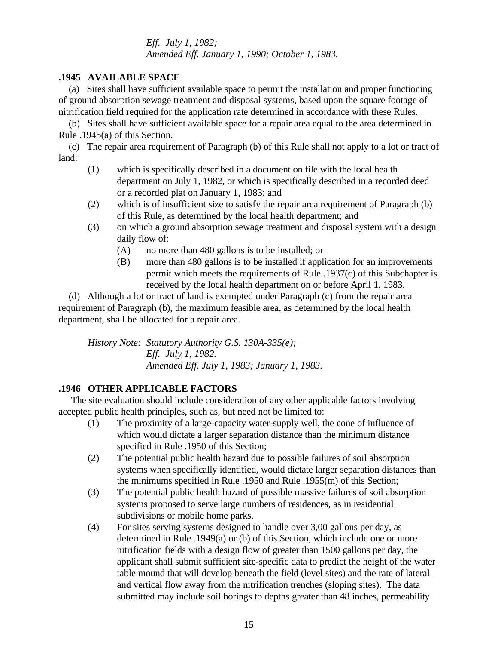*Eff. July 1, 1982; Amended Eff. January 1, 1990; October 1, 1983.*

### **.1945 AVAILABLE SPACE**

 (a) Sites shall have sufficient available space to permit the installation and proper functioning of ground absorption sewage treatment and disposal systems, based upon the square footage of nitrification field required for the application rate determined in accordance with these Rules.

 (b) Sites shall have sufficient available space for a repair area equal to the area determined in Rule .1945(a) of this Section.

 (c) The repair area requirement of Paragraph (b) of this Rule shall not apply to a lot or tract of land:

- (1) which is specifically described in a document on file with the local health department on July 1, 1982, or which is specifically described in a recorded deed or a recorded plat on January 1, 1983; and
- (2) which is of insufficient size to satisfy the repair area requirement of Paragraph (b) of this Rule, as determined by the local health department; and
- (3) on which a ground absorption sewage treatment and disposal system with a design daily flow of:
	- (A) no more than 480 gallons is to be installed; or
	- (B) more than 480 gallons is to be installed if application for an improvements permit which meets the requirements of Rule .1937(c) of this Subchapter is received by the local health department on or before April 1, 1983.

 (d) Although a lot or tract of land is exempted under Paragraph (c) from the repair area requirement of Paragraph (b), the maximum feasible area, as determined by the local health department, shall be allocated for a repair area.

*History Note: Statutory Authority G.S. 130A-335(e); Eff. July 1, 1982. Amended Eff. July 1, 1983; January 1, 1983.*

# **.1946 OTHER APPLICABLE FACTORS**

 The site evaluation should include consideration of any other applicable factors involving accepted public health principles, such as, but need not be limited to:

- (1) The proximity of a large-capacity water-supply well, the cone of influence of which would dictate a larger separation distance than the minimum distance specified in Rule .1950 of this Section;
- (2) The potential public health hazard due to possible failures of soil absorption systems when specifically identified, would dictate larger separation distances than the minimums specified in Rule .1950 and Rule .1955(m) of this Section;
- (3) The potential public health hazard of possible massive failures of soil absorption systems proposed to serve large numbers of residences, as in residential subdivisions or mobile home parks.
- (4) For sites serving systems designed to handle over 3,00 gallons per day, as determined in Rule .1949(a) or (b) of this Section, which include one or more nitrification fields with a design flow of greater than 1500 gallons per day, the applicant shall submit sufficient site-specific data to predict the height of the water table mound that will develop beneath the field (level sites) and the rate of lateral and vertical flow away from the nitrification trenches (sloping sites). The data submitted may include soil borings to depths greater than 48 inches, permeability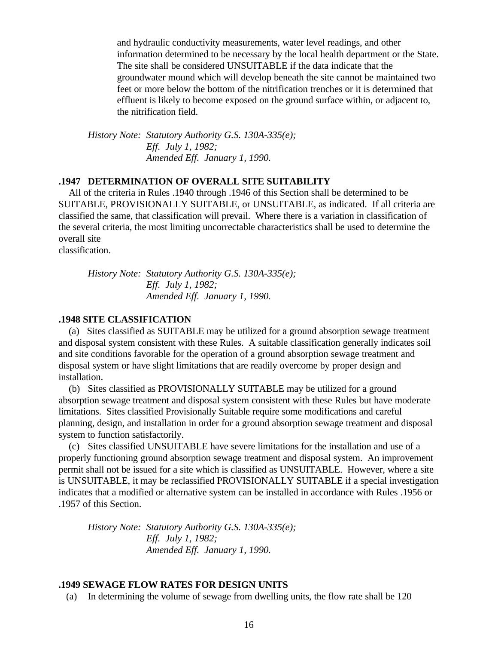and hydraulic conductivity measurements, water level readings, and other information determined to be necessary by the local health department or the State. The site shall be considered UNSUITABLE if the data indicate that the groundwater mound which will develop beneath the site cannot be maintained two feet or more below the bottom of the nitrification trenches or it is determined that effluent is likely to become exposed on the ground surface within, or adjacent to, the nitrification field.

*History Note: Statutory Authority G.S. 130A-335(e); Eff. July 1, 1982; Amended Eff. January 1, 1990.*

#### **.1947 DETERMINATION OF OVERALL SITE SUITABILITY**

 All of the criteria in Rules .1940 through .1946 of this Section shall be determined to be SUITABLE, PROVISIONALLY SUITABLE, or UNSUITABLE, as indicated. If all criteria are classified the same, that classification will prevail. Where there is a variation in classification of the several criteria, the most limiting uncorrectable characteristics shall be used to determine the overall site

classification.

*History Note: Statutory Authority G.S. 130A-335(e); Eff. July 1, 1982; Amended Eff. January 1, 1990.*

### **.1948 SITE CLASSIFICATION**

 (a) Sites classified as SUITABLE may be utilized for a ground absorption sewage treatment and disposal system consistent with these Rules. A suitable classification generally indicates soil and site conditions favorable for the operation of a ground absorption sewage treatment and disposal system or have slight limitations that are readily overcome by proper design and installation.

 (b) Sites classified as PROVISIONALLY SUITABLE may be utilized for a ground absorption sewage treatment and disposal system consistent with these Rules but have moderate limitations. Sites classified Provisionally Suitable require some modifications and careful planning, design, and installation in order for a ground absorption sewage treatment and disposal system to function satisfactorily.

 (c) Sites classified UNSUITABLE have severe limitations for the installation and use of a properly functioning ground absorption sewage treatment and disposal system. An improvement permit shall not be issued for a site which is classified as UNSUITABLE. However, where a site is UNSUITABLE, it may be reclassified PROVISIONALLY SUITABLE if a special investigation indicates that a modified or alternative system can be installed in accordance with Rules .1956 or .1957 of this Section.

*History Note: Statutory Authority G.S. 130A-335(e); Eff. July 1, 1982; Amended Eff. January 1, 1990.*

#### **.1949 SEWAGE FLOW RATES FOR DESIGN UNITS**

(a) In determining the volume of sewage from dwelling units, the flow rate shall be 120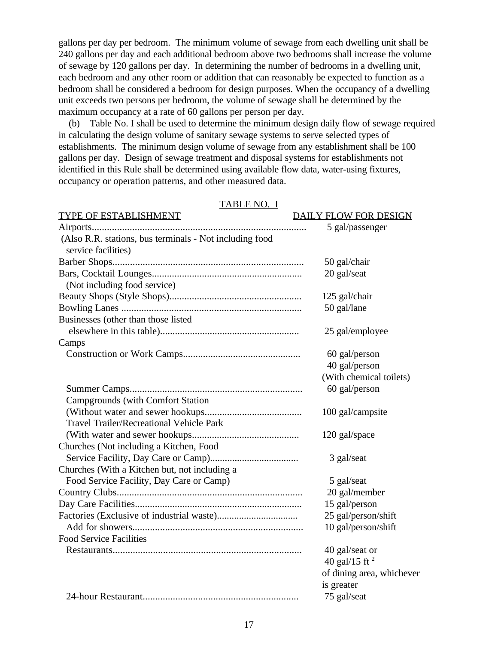gallons per day per bedroom. The minimum volume of sewage from each dwelling unit shall be 240 gallons per day and each additional bedroom above two bedrooms shall increase the volume of sewage by 120 gallons per day. In determining the number of bedrooms in a dwelling unit, each bedroom and any other room or addition that can reasonably be expected to function as a bedroom shall be considered a bedroom for design purposes. When the occupancy of a dwelling unit exceeds two persons per bedroom, the volume of sewage shall be determined by the maximum occupancy at a rate of 60 gallons per person per day.

 (b) Table No. I shall be used to determine the minimum design daily flow of sewage required in calculating the design volume of sanitary sewage systems to serve selected types of establishments. The minimum design volume of sewage from any establishment shall be 100 gallons per day. Design of sewage treatment and disposal systems for establishments not identified in this Rule shall be determined using available flow data, water-using fixtures, occupancy or operation patterns, and other measured data.

| <b>TABLE NO. I</b>                                      |                              |
|---------------------------------------------------------|------------------------------|
| TYPE OF ESTABLISHMENT                                   | <b>DAILY FLOW FOR DESIGN</b> |
|                                                         | 5 gal/passenger              |
| (Also R.R. stations, bus terminals - Not including food |                              |
| service facilities)                                     |                              |
|                                                         | 50 gal/chair                 |
|                                                         | 20 gal/seat                  |
| (Not including food service)                            |                              |
|                                                         | 125 gal/chair                |
|                                                         | 50 gal/lane                  |
| Businesses (other than those listed                     |                              |
|                                                         | 25 gal/employee              |
| Camps                                                   |                              |
|                                                         | 60 gal/person                |
|                                                         | 40 gal/person                |
|                                                         | (With chemical toilets)      |
|                                                         | 60 gal/person                |
| <b>Campgrounds (with Comfort Station)</b>               |                              |
|                                                         | 100 gal/campsite             |
| <b>Travel Trailer/Recreational Vehicle Park</b>         |                              |
|                                                         | 120 gal/space                |
| Churches (Not including a Kitchen, Food                 |                              |
|                                                         | 3 gal/seat                   |
| Churches (With a Kitchen but, not including a           |                              |
| Food Service Facility, Day Care or Camp)                | 5 gal/seat                   |
|                                                         | 20 gal/member                |
|                                                         | 15 gal/person                |
|                                                         | 25 gal/person/shift          |
|                                                         | 10 gal/person/shift          |
| <b>Food Service Facilities</b>                          |                              |
|                                                         | 40 gal/seat or               |
|                                                         | 40 gal/15 ft $^{2}$          |
|                                                         | of dining area, whichever    |
|                                                         | is greater                   |
|                                                         | 75 gal/seat                  |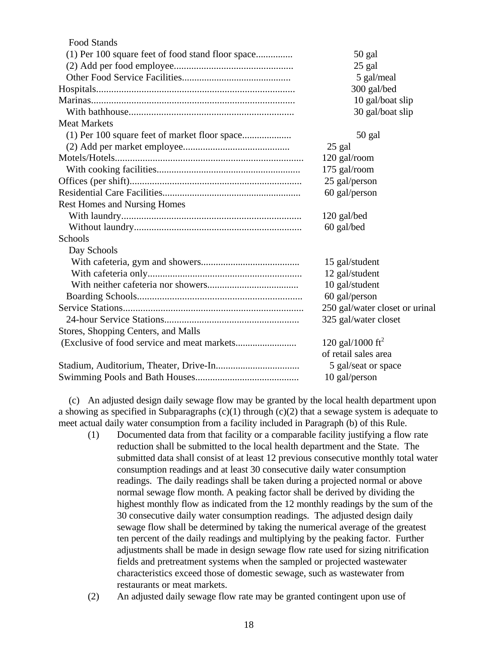| <b>Food Stands</b>                                |                                |
|---------------------------------------------------|--------------------------------|
| (1) Per 100 square feet of food stand floor space | $50$ gal                       |
|                                                   | 25 gal                         |
|                                                   | 5 gal/meal                     |
|                                                   | 300 gal/bed                    |
|                                                   | 10 gal/boat slip               |
|                                                   | 30 gal/boat slip               |
| <b>Meat Markets</b>                               |                                |
|                                                   | 50 gal                         |
|                                                   | 25 gal                         |
|                                                   | 120 gal/room                   |
|                                                   | 175 gal/room                   |
|                                                   | 25 gal/person                  |
|                                                   | 60 gal/person                  |
| <b>Rest Homes and Nursing Homes</b>               |                                |
|                                                   | 120 gal/bed                    |
|                                                   | 60 gal/bed                     |
| Schools                                           |                                |
| Day Schools                                       |                                |
|                                                   | 15 gal/student                 |
|                                                   | 12 gal/student                 |
|                                                   | 10 gal/student                 |
|                                                   | 60 gal/person                  |
|                                                   | 250 gal/water closet or urinal |
|                                                   | 325 gal/water closet           |
| Stores, Shopping Centers, and Malls               |                                |
|                                                   | 120 gal/1000 ft <sup>2</sup>   |
|                                                   | of retail sales area           |
|                                                   | 5 gal/seat or space            |
|                                                   | 10 gal/person                  |
|                                                   |                                |

 (c) An adjusted design daily sewage flow may be granted by the local health department upon a showing as specified in Subparagraphs  $(c)(1)$  through  $(c)(2)$  that a sewage system is adequate to meet actual daily water consumption from a facility included in Paragraph (b) of this Rule.

- (1) Documented data from that facility or a comparable facility justifying a flow rate reduction shall be submitted to the local health department and the State. The submitted data shall consist of at least 12 previous consecutive monthly total water consumption readings and at least 30 consecutive daily water consumption readings. The daily readings shall be taken during a projected normal or above normal sewage flow month. A peaking factor shall be derived by dividing the highest monthly flow as indicated from the 12 monthly readings by the sum of the 30 consecutive daily water consumption readings. The adjusted design daily sewage flow shall be determined by taking the numerical average of the greatest ten percent of the daily readings and multiplying by the peaking factor. Further adjustments shall be made in design sewage flow rate used for sizing nitrification fields and pretreatment systems when the sampled or projected wastewater characteristics exceed those of domestic sewage, such as wastewater from restaurants or meat markets.
- (2) An adjusted daily sewage flow rate may be granted contingent upon use of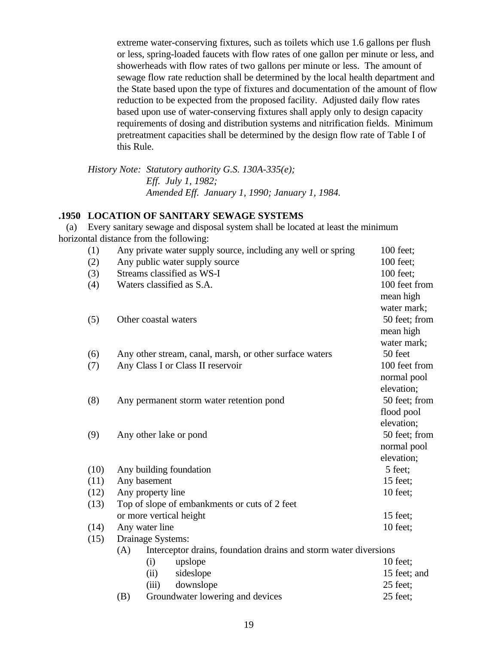extreme water-conserving fixtures, such as toilets which use 1.6 gallons per flush or less, spring-loaded faucets with flow rates of one gallon per minute or less, and showerheads with flow rates of two gallons per minute or less. The amount of sewage flow rate reduction shall be determined by the local health department and the State based upon the type of fixtures and documentation of the amount of flow reduction to be expected from the proposed facility. Adjusted daily flow rates based upon use of water-conserving fixtures shall apply only to design capacity requirements of dosing and distribution systems and nitrification fields. Minimum pretreatment capacities shall be determined by the design flow rate of Table I of this Rule.

*History Note: Statutory authority G.S. 130A-335(e); Eff. July 1, 1982; Amended Eff. January 1, 1990; January 1, 1984.*

### **.1950 LOCATION OF SANITARY SEWAGE SYSTEMS**

 (a) Every sanitary sewage and disposal system shall be located at least the minimum horizontal distance from the following:

| (1)  | Any private water supply source, including any well or spring           | 100 feet;     |
|------|-------------------------------------------------------------------------|---------------|
| (2)  | Any public water supply source                                          | 100 feet;     |
| (3)  | Streams classified as WS-I                                              | 100 feet;     |
| (4)  | Waters classified as S.A.                                               | 100 feet from |
|      |                                                                         | mean high     |
|      |                                                                         | water mark;   |
| (5)  | Other coastal waters                                                    | 50 feet; from |
|      |                                                                         | mean high     |
|      |                                                                         | water mark;   |
| (6)  | Any other stream, canal, marsh, or other surface waters                 | 50 feet       |
| (7)  | Any Class I or Class II reservoir                                       | 100 feet from |
|      |                                                                         | normal pool   |
|      |                                                                         | elevation;    |
| (8)  | Any permanent storm water retention pond                                | 50 feet; from |
|      |                                                                         | flood pool    |
|      |                                                                         | elevation;    |
| (9)  | Any other lake or pond                                                  | 50 feet; from |
|      |                                                                         | normal pool   |
|      |                                                                         | elevation;    |
| (10) | Any building foundation                                                 | 5 feet;       |
| (11) | Any basement                                                            | 15 feet;      |
| (12) | Any property line                                                       | 10 feet;      |
| (13) | Top of slope of embankments or cuts of 2 feet                           |               |
|      | or more vertical height                                                 | 15 feet;      |
| (14) | Any water line                                                          | 10 feet;      |
| (15) | Drainage Systems:                                                       |               |
|      | Interceptor drains, foundation drains and storm water diversions<br>(A) |               |
|      | (i)<br>upslope                                                          | 10 feet;      |
|      | sideslope<br>(ii)                                                       | 15 feet; and  |
|      | downslope<br>(iii)                                                      | 25 feet;      |
|      | Groundwater lowering and devices<br>(B)                                 | 25 feet;      |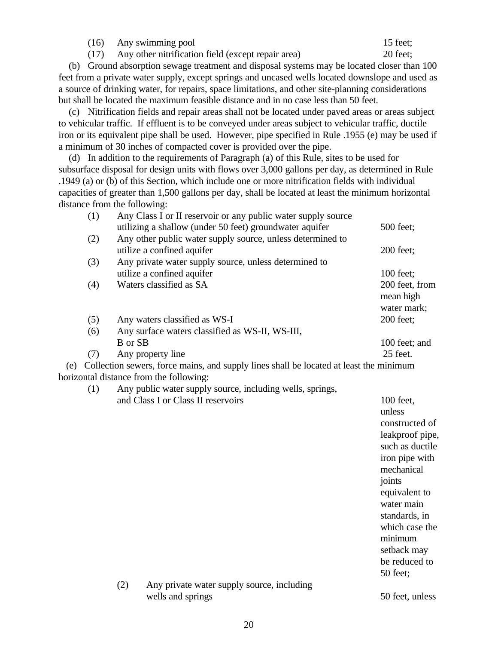(16) Any swimming pool 15 feet;

(17) Any other nitrification field (except repair area) 20 feet;

 (b) Ground absorption sewage treatment and disposal systems may be located closer than 100 feet from a private water supply, except springs and uncased wells located downslope and used as a source of drinking water, for repairs, space limitations, and other site-planning considerations but shall be located the maximum feasible distance and in no case less than 50 feet.

 (c) Nitrification fields and repair areas shall not be located under paved areas or areas subject to vehicular traffic. If effluent is to be conveyed under areas subject to vehicular traffic, ductile iron or its equivalent pipe shall be used. However, pipe specified in Rule .1955 (e) may be used if a minimum of 30 inches of compacted cover is provided over the pipe.

 (d) In addition to the requirements of Paragraph (a) of this Rule, sites to be used for subsurface disposal for design units with flows over 3,000 gallons per day, as determined in Rule .1949 (a) or (b) of this Section, which include one or more nitrification fields with individual capacities of greater than 1,500 gallons per day, shall be located at least the minimum horizontal distance from the following:

|     | (1) | Any Class I or II reservoir or any public water supply source                          |                |
|-----|-----|----------------------------------------------------------------------------------------|----------------|
|     |     | utilizing a shallow (under 50 feet) groundwater aquifer                                | 500 feet;      |
|     | (2) | Any other public water supply source, unless determined to                             |                |
|     |     | utilize a confined aquifer                                                             | 200 feet;      |
|     | (3) | Any private water supply source, unless determined to                                  |                |
|     |     | utilize a confined aquifer                                                             | 100 feet;      |
|     | (4) | Waters classified as SA                                                                | 200 feet, from |
|     |     |                                                                                        | mean high      |
|     |     |                                                                                        | water mark;    |
|     | (5) | Any waters classified as WS-I                                                          | 200 feet;      |
|     | (6) | Any surface waters classified as WS-II, WS-III,                                        |                |
|     |     | B or SB                                                                                | 100 feet; and  |
|     | (7) | Any property line                                                                      | 25 feet.       |
| (e) |     | Collection sewers, force mains, and supply lines shall be located at least the minimum |                |

horizontal distance from the following:

(1) Any public water supply source, including wells, springs, and Class I or Class II reservoirs 100 feet,

unless constructed of leakproof pipe, such as ductile iron pipe with mechanical joints equivalent to water main standards, in which case the minimum setback may be reduced to 50 feet;

(2) Any private water supply source, including wells and springs 50 feet, unless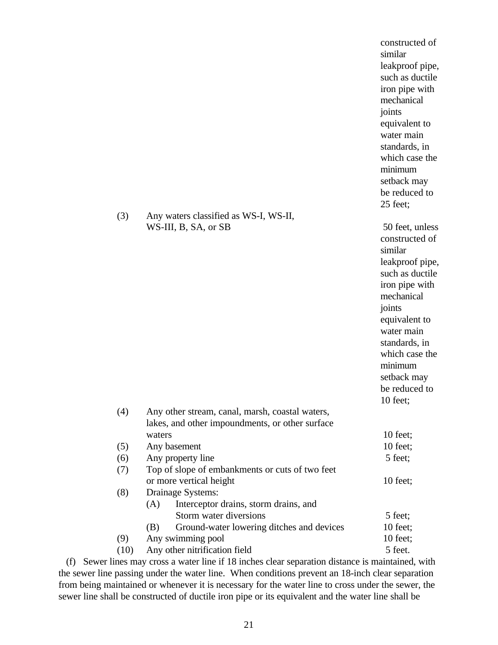| (3)  | Any waters classified as WS-I, WS-II,                                      | constructed of<br>similar<br>leakproof pipe,<br>such as ductile<br>iron pipe with<br>mechanical<br>joints<br>equivalent to<br>water main<br>standards, in<br>which case the<br>minimum<br>setback may<br>be reduced to<br>25 feet; |
|------|----------------------------------------------------------------------------|------------------------------------------------------------------------------------------------------------------------------------------------------------------------------------------------------------------------------------|
|      | WS-III, B, SA, or SB                                                       | 50 feet, unless                                                                                                                                                                                                                    |
|      |                                                                            | constructed of<br>similar<br>leakproof pipe,<br>such as ductile<br>iron pipe with<br>mechanical<br>joints<br>equivalent to<br>water main<br>standards, in<br>which case the<br>minimum<br>setback may<br>be reduced to<br>10 feet; |
| (4)  | Any other stream, canal, marsh, coastal waters,                            |                                                                                                                                                                                                                                    |
|      | lakes, and other impoundments, or other surface                            |                                                                                                                                                                                                                                    |
|      | waters                                                                     | $10$ feet;                                                                                                                                                                                                                         |
| (5)  | Any basement                                                               | $10$ feet;                                                                                                                                                                                                                         |
| (6)  | Any property line                                                          | 5 feet;                                                                                                                                                                                                                            |
| (7)  | Top of slope of embankments or cuts of two feet<br>or more vertical height | $10$ feet;                                                                                                                                                                                                                         |
| (8)  | Drainage Systems:                                                          |                                                                                                                                                                                                                                    |
|      | Interceptor drains, storm drains, and<br>(A)                               |                                                                                                                                                                                                                                    |
|      | Storm water diversions                                                     | 5 feet;                                                                                                                                                                                                                            |
|      | Ground-water lowering ditches and devices<br>(B)                           | $10$ feet;                                                                                                                                                                                                                         |
| (9)  | Any swimming pool                                                          | $10$ feet;                                                                                                                                                                                                                         |
| (10) | Any other nitrification field                                              | 5 feet.                                                                                                                                                                                                                            |

 (f) Sewer lines may cross a water line if 18 inches clear separation distance is maintained, with the sewer line passing under the water line. When conditions prevent an 18-inch clear separation from being maintained or whenever it is necessary for the water line to cross under the sewer, the sewer line shall be constructed of ductile iron pipe or its equivalent and the water line shall be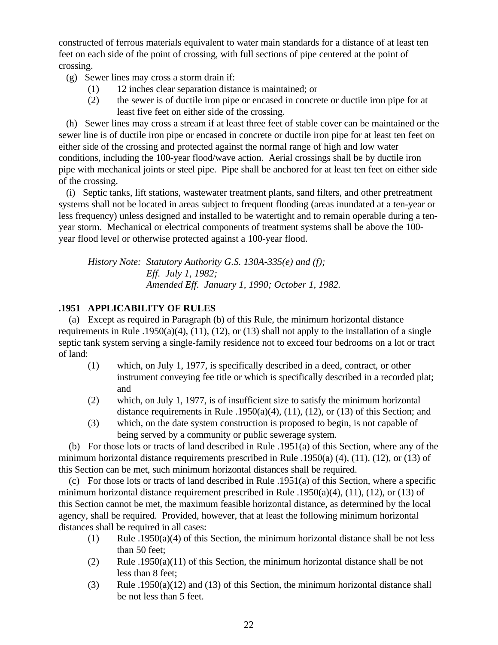constructed of ferrous materials equivalent to water main standards for a distance of at least ten feet on each side of the point of crossing, with full sections of pipe centered at the point of crossing.

(g) Sewer lines may cross a storm drain if:

- (1) 12 inches clear separation distance is maintained; or
- (2) the sewer is of ductile iron pipe or encased in concrete or ductile iron pipe for at least five feet on either side of the crossing.

 (h) Sewer lines may cross a stream if at least three feet of stable cover can be maintained or the sewer line is of ductile iron pipe or encased in concrete or ductile iron pipe for at least ten feet on either side of the crossing and protected against the normal range of high and low water conditions, including the 100-year flood/wave action. Aerial crossings shall be by ductile iron pipe with mechanical joints or steel pipe. Pipe shall be anchored for at least ten feet on either side of the crossing.

 (i) Septic tanks, lift stations, wastewater treatment plants, sand filters, and other pretreatment systems shall not be located in areas subject to frequent flooding (areas inundated at a ten-year or less frequency) unless designed and installed to be watertight and to remain operable during a tenyear storm. Mechanical or electrical components of treatment systems shall be above the 100 year flood level or otherwise protected against a 100-year flood.

*History Note: Statutory Authority G.S. 130A-335(e) and (f); Eff. July 1, 1982; Amended Eff. January 1, 1990; October 1, 1982.*

# **.1951 APPLICABILITY OF RULES**

 (a) Except as required in Paragraph (b) of this Rule, the minimum horizontal distance requirements in Rule .1950(a)(4), (11), (12), or (13) shall not apply to the installation of a single septic tank system serving a single-family residence not to exceed four bedrooms on a lot or tract of land:

- (1) which, on July 1, 1977, is specifically described in a deed, contract, or other instrument conveying fee title or which is specifically described in a recorded plat; and
- (2) which, on July 1, 1977, is of insufficient size to satisfy the minimum horizontal distance requirements in Rule .1950(a)(4), (11), (12), or (13) of this Section; and
- (3) which, on the date system construction is proposed to begin, is not capable of being served by a community or public sewerage system.

 (b) For those lots or tracts of land described in Rule .1951(a) of this Section, where any of the minimum horizontal distance requirements prescribed in Rule .1950(a) (4), (11), (12), or (13) of this Section can be met, such minimum horizontal distances shall be required.

 (c) For those lots or tracts of land described in Rule .1951(a) of this Section, where a specific minimum horizontal distance requirement prescribed in Rule .1950(a)(4), (11), (12), or (13) of this Section cannot be met, the maximum feasible horizontal distance, as determined by the local agency, shall be required. Provided, however, that at least the following minimum horizontal distances shall be required in all cases:

- (1) Rule .1950(a)(4) of this Section, the minimum horizontal distance shall be not less than 50 feet;
- (2) Rule .1950(a)(11) of this Section, the minimum horizontal distance shall be not less than 8 feet;
- (3) Rule .1950(a)(12) and (13) of this Section, the minimum horizontal distance shall be not less than 5 feet.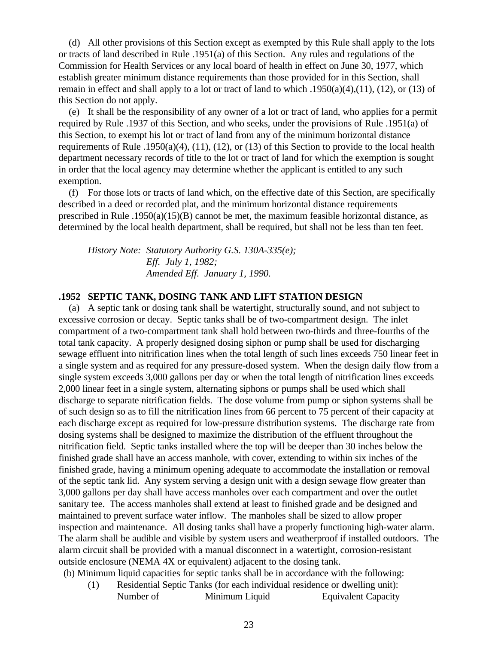(d) All other provisions of this Section except as exempted by this Rule shall apply to the lots or tracts of land described in Rule .1951(a) of this Section. Any rules and regulations of the Commission for Health Services or any local board of health in effect on June 30, 1977, which establish greater minimum distance requirements than those provided for in this Section, shall remain in effect and shall apply to a lot or tract of land to which .1950(a)(4),(11), (12), or (13) of this Section do not apply.

 (e) It shall be the responsibility of any owner of a lot or tract of land, who applies for a permit required by Rule .1937 of this Section, and who seeks, under the provisions of Rule .1951(a) of this Section, to exempt his lot or tract of land from any of the minimum horizontal distance requirements of Rule .1950(a)(4), (11), (12), or (13) of this Section to provide to the local health department necessary records of title to the lot or tract of land for which the exemption is sought in order that the local agency may determine whether the applicant is entitled to any such exemption.

 (f) For those lots or tracts of land which, on the effective date of this Section, are specifically described in a deed or recorded plat, and the minimum horizontal distance requirements prescribed in Rule .1950(a)(15)(B) cannot be met, the maximum feasible horizontal distance, as determined by the local health department, shall be required, but shall not be less than ten feet.

*History Note: Statutory Authority G.S. 130A-335(e); Eff. July 1, 1982; Amended Eff. January 1, 1990.*

### **.1952 SEPTIC TANK, DOSING TANK AND LIFT STATION DESIGN**

 (a) A septic tank or dosing tank shall be watertight, structurally sound, and not subject to excessive corrosion or decay. Septic tanks shall be of two-compartment design. The inlet compartment of a two-compartment tank shall hold between two-thirds and three-fourths of the total tank capacity. A properly designed dosing siphon or pump shall be used for discharging sewage effluent into nitrification lines when the total length of such lines exceeds 750 linear feet in a single system and as required for any pressure-dosed system. When the design daily flow from a single system exceeds 3,000 gallons per day or when the total length of nitrification lines exceeds 2,000 linear feet in a single system, alternating siphons or pumps shall be used which shall discharge to separate nitrification fields. The dose volume from pump or siphon systems shall be of such design so as to fill the nitrification lines from 66 percent to 75 percent of their capacity at each discharge except as required for low-pressure distribution systems. The discharge rate from dosing systems shall be designed to maximize the distribution of the effluent throughout the nitrification field. Septic tanks installed where the top will be deeper than 30 inches below the finished grade shall have an access manhole, with cover, extending to within six inches of the finished grade, having a minimum opening adequate to accommodate the installation or removal of the septic tank lid. Any system serving a design unit with a design sewage flow greater than 3,000 gallons per day shall have access manholes over each compartment and over the outlet sanitary tee. The access manholes shall extend at least to finished grade and be designed and maintained to prevent surface water inflow. The manholes shall be sized to allow proper inspection and maintenance. All dosing tanks shall have a properly functioning high-water alarm. The alarm shall be audible and visible by system users and weatherproof if installed outdoors. The alarm circuit shall be provided with a manual disconnect in a watertight, corrosion-resistant outside enclosure (NEMA 4X or equivalent) adjacent to the dosing tank.

(b) Minimum liquid capacities for septic tanks shall be in accordance with the following:

(1) Residential Septic Tanks (for each individual residence or dwelling unit): Number of Minimum Liquid Equivalent Capacity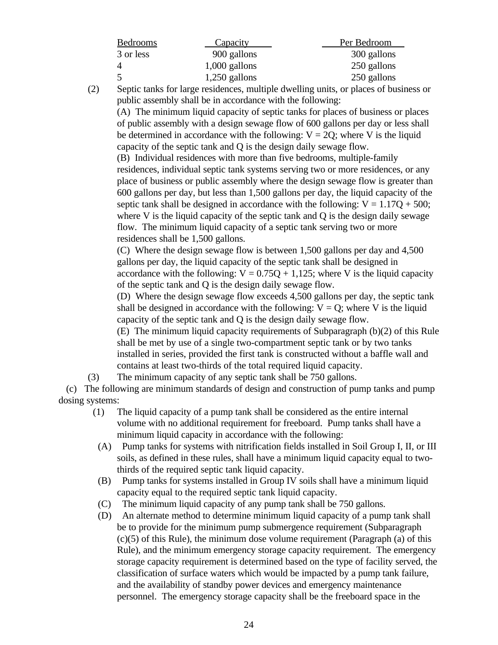| <b>Bedrooms</b> | <b>Capacity</b> | Per Bedroom |
|-----------------|-----------------|-------------|
| 3 or less       | 900 gallons     | 300 gallons |
| 4               | $1,000$ gallons | 250 gallons |
| -5              | $1,250$ gallons | 250 gallons |

(2) Septic tanks for large residences, multiple dwelling units, or places of business or public assembly shall be in accordance with the following:

(A) The minimum liquid capacity of septic tanks for places of business or places of public assembly with a design sewage flow of 600 gallons per day or less shall be determined in accordance with the following:  $V = 2Q$ ; where V is the liquid capacity of the septic tank and Q is the design daily sewage flow.

(B) Individual residences with more than five bedrooms, multiple-family residences, individual septic tank systems serving two or more residences, or any place of business or public assembly where the design sewage flow is greater than 600 gallons per day, but less than 1,500 gallons per day, the liquid capacity of the septic tank shall be designed in accordance with the following:  $V = 1.17Q + 500$ ; where V is the liquid capacity of the septic tank and Q is the design daily sewage flow. The minimum liquid capacity of a septic tank serving two or more residences shall be 1,500 gallons.

(C) Where the design sewage flow is between 1,500 gallons per day and 4,500 gallons per day, the liquid capacity of the septic tank shall be designed in accordance with the following:  $V = 0.75Q + 1.125$ ; where V is the liquid capacity of the septic tank and Q is the design daily sewage flow.

(D) Where the design sewage flow exceeds 4,500 gallons per day, the septic tank shall be designed in accordance with the following:  $V = Q$ ; where V is the liquid capacity of the septic tank and Q is the design daily sewage flow.

(E) The minimum liquid capacity requirements of Subparagraph (b)(2) of this Rule shall be met by use of a single two-compartment septic tank or by two tanks installed in series, provided the first tank is constructed without a baffle wall and contains at least two-thirds of the total required liquid capacity.

(3) The minimum capacity of any septic tank shall be 750 gallons.

 (c) The following are minimum standards of design and construction of pump tanks and pump dosing systems:

- (1) The liquid capacity of a pump tank shall be considered as the entire internal volume with no additional requirement for freeboard. Pump tanks shall have a minimum liquid capacity in accordance with the following:
	- (A) Pump tanks for systems with nitrification fields installed in Soil Group I, II, or III soils, as defined in these rules, shall have a minimum liquid capacity equal to twothirds of the required septic tank liquid capacity.
- (B) Pump tanks for systems installed in Group IV soils shall have a minimum liquid capacity equal to the required septic tank liquid capacity.
- (C) The minimum liquid capacity of any pump tank shall be 750 gallons.
- (D) An alternate method to determine minimum liquid capacity of a pump tank shall be to provide for the minimum pump submergence requirement (Subparagraph  $(c)(5)$  of this Rule), the minimum dose volume requirement (Paragraph (a) of this Rule), and the minimum emergency storage capacity requirement. The emergency storage capacity requirement is determined based on the type of facility served, the classification of surface waters which would be impacted by a pump tank failure, and the availability of standby power devices and emergency maintenance personnel. The emergency storage capacity shall be the freeboard space in the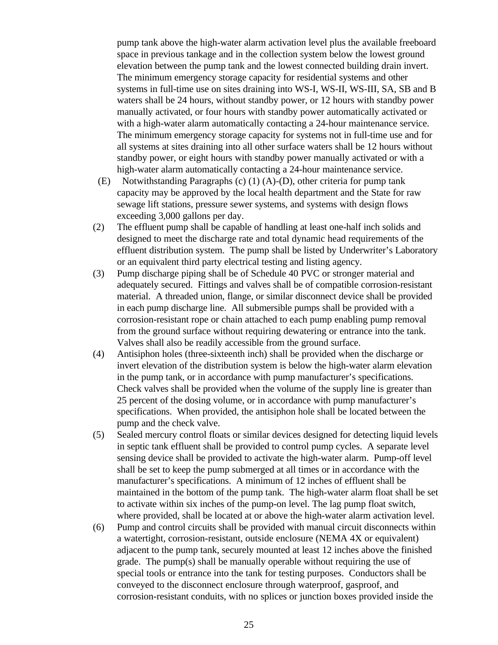pump tank above the high-water alarm activation level plus the available freeboard space in previous tankage and in the collection system below the lowest ground elevation between the pump tank and the lowest connected building drain invert. The minimum emergency storage capacity for residential systems and other systems in full-time use on sites draining into WS-I, WS-II, WS-III, SA, SB and B waters shall be 24 hours, without standby power, or 12 hours with standby power manually activated, or four hours with standby power automatically activated or with a high-water alarm automatically contacting a 24-hour maintenance service. The minimum emergency storage capacity for systems not in full-time use and for all systems at sites draining into all other surface waters shall be 12 hours without standby power, or eight hours with standby power manually activated or with a high-water alarm automatically contacting a 24-hour maintenance service.

- (E) Notwithstanding Paragraphs (c) (1) (A)-(D), other criteria for pump tank capacity may be approved by the local health department and the State for raw sewage lift stations, pressure sewer systems, and systems with design flows exceeding 3,000 gallons per day.
- (2) The effluent pump shall be capable of handling at least one-half inch solids and designed to meet the discharge rate and total dynamic head requirements of the effluent distribution system. The pump shall be listed by Underwriter's Laboratory or an equivalent third party electrical testing and listing agency.
- (3) Pump discharge piping shall be of Schedule 40 PVC or stronger material and adequately secured. Fittings and valves shall be of compatible corrosion-resistant material. A threaded union, flange, or similar disconnect device shall be provided in each pump discharge line. All submersible pumps shall be provided with a corrosion-resistant rope or chain attached to each pump enabling pump removal from the ground surface without requiring dewatering or entrance into the tank. Valves shall also be readily accessible from the ground surface.
- (4) Antisiphon holes (three-sixteenth inch) shall be provided when the discharge or invert elevation of the distribution system is below the high-water alarm elevation in the pump tank, or in accordance with pump manufacturer's specifications. Check valves shall be provided when the volume of the supply line is greater than 25 percent of the dosing volume, or in accordance with pump manufacturer's specifications. When provided, the antisiphon hole shall be located between the pump and the check valve.
- (5) Sealed mercury control floats or similar devices designed for detecting liquid levels in septic tank effluent shall be provided to control pump cycles. A separate level sensing device shall be provided to activate the high-water alarm. Pump-off level shall be set to keep the pump submerged at all times or in accordance with the manufacturer's specifications. A minimum of 12 inches of effluent shall be maintained in the bottom of the pump tank. The high-water alarm float shall be set to activate within six inches of the pump-on level. The lag pump float switch, where provided, shall be located at or above the high-water alarm activation level.
- (6) Pump and control circuits shall be provided with manual circuit disconnects within a watertight, corrosion-resistant, outside enclosure (NEMA 4X or equivalent) adjacent to the pump tank, securely mounted at least 12 inches above the finished grade. The pump(s) shall be manually operable without requiring the use of special tools or entrance into the tank for testing purposes. Conductors shall be conveyed to the disconnect enclosure through waterproof, gasproof, and corrosion-resistant conduits, with no splices or junction boxes provided inside the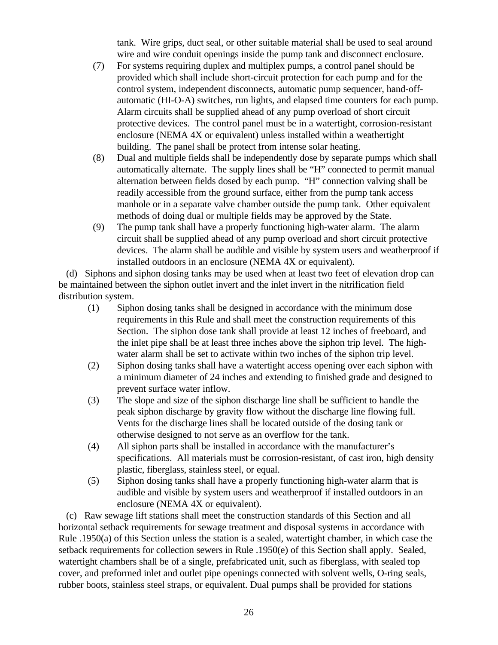tank. Wire grips, duct seal, or other suitable material shall be used to seal around wire and wire conduit openings inside the pump tank and disconnect enclosure.

- (7) For systems requiring duplex and multiplex pumps, a control panel should be provided which shall include short-circuit protection for each pump and for the control system, independent disconnects, automatic pump sequencer, hand-offautomatic (HI-O-A) switches, run lights, and elapsed time counters for each pump. Alarm circuits shall be supplied ahead of any pump overload of short circuit protective devices. The control panel must be in a watertight, corrosion-resistant enclosure (NEMA 4X or equivalent) unless installed within a weathertight building. The panel shall be protect from intense solar heating.
- (8) Dual and multiple fields shall be independently dose by separate pumps which shall automatically alternate. The supply lines shall be "H" connected to permit manual alternation between fields dosed by each pump. "H" connection valving shall be readily accessible from the ground surface, either from the pump tank access manhole or in a separate valve chamber outside the pump tank. Other equivalent methods of doing dual or multiple fields may be approved by the State.
- (9) The pump tank shall have a properly functioning high-water alarm. The alarm circuit shall be supplied ahead of any pump overload and short circuit protective devices. The alarm shall be audible and visible by system users and weatherproof if installed outdoors in an enclosure (NEMA 4X or equivalent).

 (d) Siphons and siphon dosing tanks may be used when at least two feet of elevation drop can be maintained between the siphon outlet invert and the inlet invert in the nitrification field distribution system.

- (1) Siphon dosing tanks shall be designed in accordance with the minimum dose requirements in this Rule and shall meet the construction requirements of this Section. The siphon dose tank shall provide at least 12 inches of freeboard, and the inlet pipe shall be at least three inches above the siphon trip level. The highwater alarm shall be set to activate within two inches of the siphon trip level.
- (2) Siphon dosing tanks shall have a watertight access opening over each siphon with a minimum diameter of 24 inches and extending to finished grade and designed to prevent surface water inflow.
- (3) The slope and size of the siphon discharge line shall be sufficient to handle the peak siphon discharge by gravity flow without the discharge line flowing full. Vents for the discharge lines shall be located outside of the dosing tank or otherwise designed to not serve as an overflow for the tank.
- (4) All siphon parts shall be installed in accordance with the manufacturer's specifications. All materials must be corrosion-resistant, of cast iron, high density plastic, fiberglass, stainless steel, or equal.
- (5) Siphon dosing tanks shall have a properly functioning high-water alarm that is audible and visible by system users and weatherproof if installed outdoors in an enclosure (NEMA 4X or equivalent).

 (c) Raw sewage lift stations shall meet the construction standards of this Section and all horizontal setback requirements for sewage treatment and disposal systems in accordance with Rule .1950(a) of this Section unless the station is a sealed, watertight chamber, in which case the setback requirements for collection sewers in Rule .1950(e) of this Section shall apply. Sealed, watertight chambers shall be of a single, prefabricated unit, such as fiberglass, with sealed top cover, and preformed inlet and outlet pipe openings connected with solvent wells, O-ring seals, rubber boots, stainless steel straps, or equivalent. Dual pumps shall be provided for stations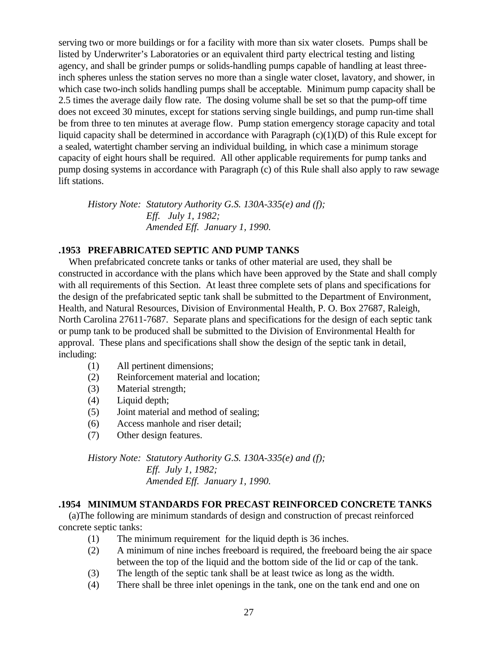serving two or more buildings or for a facility with more than six water closets. Pumps shall be listed by Underwriter's Laboratories or an equivalent third party electrical testing and listing agency, and shall be grinder pumps or solids-handling pumps capable of handling at least threeinch spheres unless the station serves no more than a single water closet, lavatory, and shower, in which case two-inch solids handling pumps shall be acceptable. Minimum pump capacity shall be 2.5 times the average daily flow rate. The dosing volume shall be set so that the pump-off time does not exceed 30 minutes, except for stations serving single buildings, and pump run-time shall be from three to ten minutes at average flow. Pump station emergency storage capacity and total liquid capacity shall be determined in accordance with Paragraph (c)(1)(D) of this Rule except for a sealed, watertight chamber serving an individual building, in which case a minimum storage capacity of eight hours shall be required. All other applicable requirements for pump tanks and pump dosing systems in accordance with Paragraph (c) of this Rule shall also apply to raw sewage lift stations.

*History Note: Statutory Authority G.S. 130A-335(e) and (f); Eff. July 1, 1982; Amended Eff. January 1, 1990.*

### **.1953 PREFABRICATED SEPTIC AND PUMP TANKS**

 When prefabricated concrete tanks or tanks of other material are used, they shall be constructed in accordance with the plans which have been approved by the State and shall comply with all requirements of this Section. At least three complete sets of plans and specifications for the design of the prefabricated septic tank shall be submitted to the Department of Environment, Health, and Natural Resources, Division of Environmental Health, P. O. Box 27687, Raleigh, North Carolina 27611-7687. Separate plans and specifications for the design of each septic tank or pump tank to be produced shall be submitted to the Division of Environmental Health for approval. These plans and specifications shall show the design of the septic tank in detail, including:

- (1) All pertinent dimensions;
- (2) Reinforcement material and location;
- (3) Material strength;
- (4) Liquid depth;
- (5) Joint material and method of sealing;
- (6) Access manhole and riser detail;
- (7) Other design features.

*History Note: Statutory Authority G.S. 130A-335(e) and (f); Eff. July 1, 1982; Amended Eff. January 1, 1990.*

### **.1954 MINIMUM STANDARDS FOR PRECAST REINFORCED CONCRETE TANKS**

 (a)The following are minimum standards of design and construction of precast reinforced concrete septic tanks:

- (1) The minimum requirement for the liquid depth is 36 inches.
- (2) A minimum of nine inches freeboard is required, the freeboard being the air space between the top of the liquid and the bottom side of the lid or cap of the tank.
- (3) The length of the septic tank shall be at least twice as long as the width.
- (4) There shall be three inlet openings in the tank, one on the tank end and one on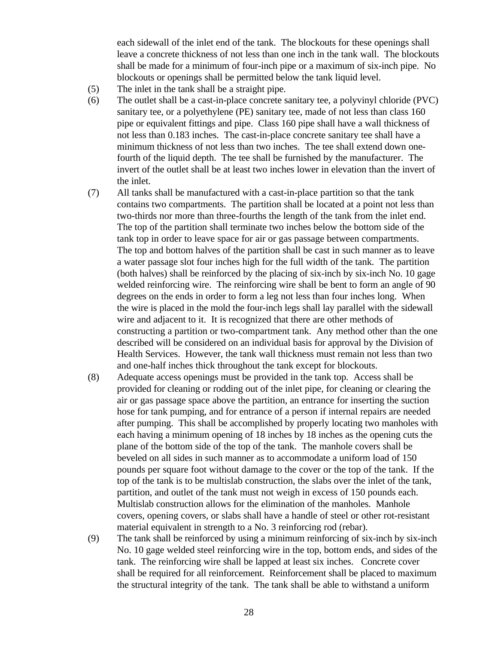each sidewall of the inlet end of the tank. The blockouts for these openings shall leave a concrete thickness of not less than one inch in the tank wall. The blockouts shall be made for a minimum of four-inch pipe or a maximum of six-inch pipe. No blockouts or openings shall be permitted below the tank liquid level.

- (5) The inlet in the tank shall be a straight pipe.
- (6) The outlet shall be a cast-in-place concrete sanitary tee, a polyvinyl chloride (PVC) sanitary tee, or a polyethylene (PE) sanitary tee, made of not less than class 160 pipe or equivalent fittings and pipe. Class 160 pipe shall have a wall thickness of not less than 0.183 inches. The cast-in-place concrete sanitary tee shall have a minimum thickness of not less than two inches. The tee shall extend down onefourth of the liquid depth. The tee shall be furnished by the manufacturer. The invert of the outlet shall be at least two inches lower in elevation than the invert of the inlet.
- (7) All tanks shall be manufactured with a cast-in-place partition so that the tank contains two compartments. The partition shall be located at a point not less than two-thirds nor more than three-fourths the length of the tank from the inlet end. The top of the partition shall terminate two inches below the bottom side of the tank top in order to leave space for air or gas passage between compartments. The top and bottom halves of the partition shall be cast in such manner as to leave a water passage slot four inches high for the full width of the tank. The partition (both halves) shall be reinforced by the placing of six-inch by six-inch No. 10 gage welded reinforcing wire. The reinforcing wire shall be bent to form an angle of 90 degrees on the ends in order to form a leg not less than four inches long. When the wire is placed in the mold the four-inch legs shall lay parallel with the sidewall wire and adjacent to it. It is recognized that there are other methods of constructing a partition or two-compartment tank. Any method other than the one described will be considered on an individual basis for approval by the Division of Health Services. However, the tank wall thickness must remain not less than two and one-half inches thick throughout the tank except for blockouts.
- (8) Adequate access openings must be provided in the tank top. Access shall be provided for cleaning or rodding out of the inlet pipe, for cleaning or clearing the air or gas passage space above the partition, an entrance for inserting the suction hose for tank pumping, and for entrance of a person if internal repairs are needed after pumping. This shall be accomplished by properly locating two manholes with each having a minimum opening of 18 inches by 18 inches as the opening cuts the plane of the bottom side of the top of the tank. The manhole covers shall be beveled on all sides in such manner as to accommodate a uniform load of 150 pounds per square foot without damage to the cover or the top of the tank. If the top of the tank is to be multislab construction, the slabs over the inlet of the tank, partition, and outlet of the tank must not weigh in excess of 150 pounds each. Multislab construction allows for the elimination of the manholes. Manhole covers, opening covers, or slabs shall have a handle of steel or other rot-resistant material equivalent in strength to a No. 3 reinforcing rod (rebar).
- (9) The tank shall be reinforced by using a minimum reinforcing of six-inch by six-inch No. 10 gage welded steel reinforcing wire in the top, bottom ends, and sides of the tank. The reinforcing wire shall be lapped at least six inches. Concrete cover shall be required for all reinforcement. Reinforcement shall be placed to maximum the structural integrity of the tank. The tank shall be able to withstand a uniform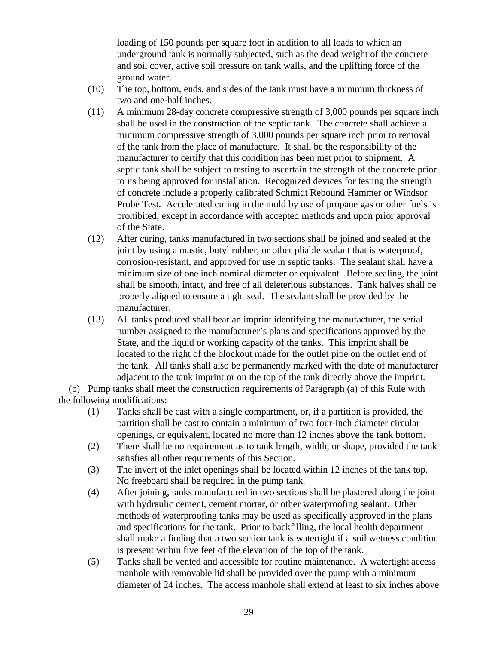loading of 150 pounds per square foot in addition to all loads to which an underground tank is normally subjected, such as the dead weight of the concrete and soil cover, active soil pressure on tank walls, and the uplifting force of the ground water.

- (10) The top, bottom, ends, and sides of the tank must have a minimum thickness of two and one-half inches.
- (11) A minimum 28-day concrete compressive strength of 3,000 pounds per square inch shall be used in the construction of the septic tank. The concrete shall achieve a minimum compressive strength of 3,000 pounds per square inch prior to removal of the tank from the place of manufacture. It shall be the responsibility of the manufacturer to certify that this condition has been met prior to shipment. A septic tank shall be subject to testing to ascertain the strength of the concrete prior to its being approved for installation. Recognized devices for testing the strength of concrete include a properly calibrated Schmidt Rebound Hammer or Windsor Probe Test. Accelerated curing in the mold by use of propane gas or other fuels is prohibited, except in accordance with accepted methods and upon prior approval of the State.
- (12) After curing, tanks manufactured in two sections shall be joined and sealed at the joint by using a mastic, butyl rubber, or other pliable sealant that is waterproof, corrosion-resistant, and approved for use in septic tanks. The sealant shall have a minimum size of one inch nominal diameter or equivalent. Before sealing, the joint shall be smooth, intact, and free of all deleterious substances. Tank halves shall be properly aligned to ensure a tight seal. The sealant shall be provided by the manufacturer.
- (13) All tanks produced shall bear an imprint identifying the manufacturer, the serial number assigned to the manufacturer's plans and specifications approved by the State, and the liquid or working capacity of the tanks. This imprint shall be located to the right of the blockout made for the outlet pipe on the outlet end of the tank. All tanks shall also be permanently marked with the date of manufacturer adjacent to the tank imprint or on the top of the tank directly above the imprint.

 (b) Pump tanks shall meet the construction requirements of Paragraph (a) of this Rule with the following modifications:

- (1) Tanks shall be cast with a single compartment, or, if a partition is provided, the partition shall be cast to contain a minimum of two four-inch diameter circular openings, or equivalent, located no more than 12 inches above the tank bottom.
- (2) There shall be no requirement as to tank length, width, or shape, provided the tank satisfies all other requirements of this Section.
- (3) The invert of the inlet openings shall be located within 12 inches of the tank top. No freeboard shall be required in the pump tank.
- (4) After joining, tanks manufactured in two sections shall be plastered along the joint with hydraulic cement, cement mortar, or other waterproofing sealant. Other methods of waterproofing tanks may be used as specifically approved in the plans and specifications for the tank. Prior to backfilling, the local health department shall make a finding that a two section tank is watertight if a soil wetness condition is present within five feet of the elevation of the top of the tank.
- (5) Tanks shall be vented and accessible for routine maintenance. A watertight access manhole with removable lid shall be provided over the pump with a minimum diameter of 24 inches. The access manhole shall extend at least to six inches above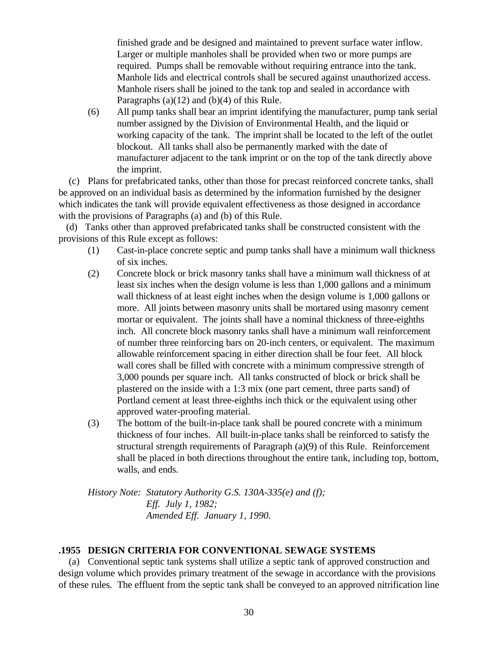finished grade and be designed and maintained to prevent surface water inflow. Larger or multiple manholes shall be provided when two or more pumps are required. Pumps shall be removable without requiring entrance into the tank. Manhole lids and electrical controls shall be secured against unauthorized access. Manhole risers shall be joined to the tank top and sealed in accordance with Paragraphs (a)(12) and (b)(4) of this Rule.

(6) All pump tanks shall bear an imprint identifying the manufacturer, pump tank serial number assigned by the Division of Environmental Health, and the liquid or working capacity of the tank. The imprint shall be located to the left of the outlet blockout. All tanks shall also be permanently marked with the date of manufacturer adjacent to the tank imprint or on the top of the tank directly above the imprint.

 (c) Plans for prefabricated tanks, other than those for precast reinforced concrete tanks, shall be approved on an individual basis as determined by the information furnished by the designer which indicates the tank will provide equivalent effectiveness as those designed in accordance with the provisions of Paragraphs (a) and (b) of this Rule.

 (d) Tanks other than approved prefabricated tanks shall be constructed consistent with the provisions of this Rule except as follows:

- (1) Cast-in-place concrete septic and pump tanks shall have a minimum wall thickness of six inches.
- (2) Concrete block or brick masonry tanks shall have a minimum wall thickness of at least six inches when the design volume is less than 1,000 gallons and a minimum wall thickness of at least eight inches when the design volume is 1,000 gallons or more. All joints between masonry units shall be mortared using masonry cement mortar or equivalent. The joints shall have a nominal thickness of three-eighths inch. All concrete block masonry tanks shall have a minimum wall reinforcement of number three reinforcing bars on 20-inch centers, or equivalent. The maximum allowable reinforcement spacing in either direction shall be four feet. All block wall cores shall be filled with concrete with a minimum compressive strength of 3,000 pounds per square inch. All tanks constructed of block or brick shall be plastered on the inside with a 1:3 mix (one part cement, three parts sand) of Portland cement at least three-eighths inch thick or the equivalent using other approved water-proofing material.
- (3) The bottom of the built-in-place tank shall be poured concrete with a minimum thickness of four inches. All built-in-place tanks shall be reinforced to satisfy the structural strength requirements of Paragraph (a)(9) of this Rule. Reinforcement shall be placed in both directions throughout the entire tank, including top, bottom, walls, and ends.

*History Note: Statutory Authority G.S. 130A-335(e) and (f); Eff. July 1, 1982; Amended Eff. January 1, 1990.*

### **.1955 DESIGN CRITERIA FOR CONVENTIONAL SEWAGE SYSTEMS**

 (a) Conventional septic tank systems shall utilize a septic tank of approved construction and design volume which provides primary treatment of the sewage in accordance with the provisions of these rules. The effluent from the septic tank shall be conveyed to an approved nitrification line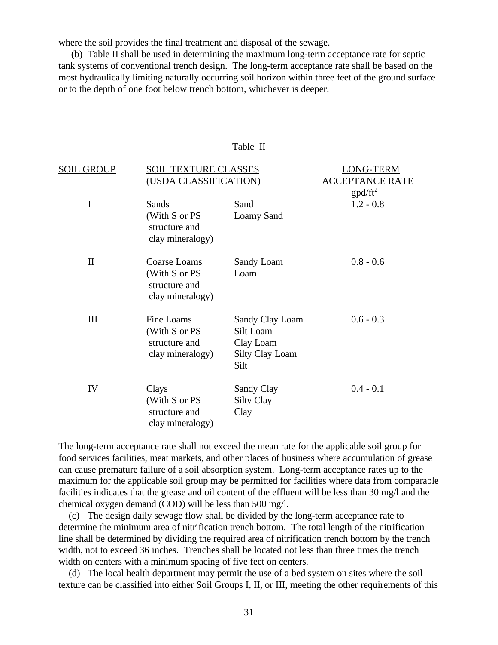where the soil provides the final treatment and disposal of the sewage.

 (b) Table II shall be used in determining the maximum long-term acceptance rate for septic tank systems of conventional trench design. The long-term acceptance rate shall be based on the most hydraulically limiting naturally occurring soil horizon within three feet of the ground surface or to the depth of one foot below trench bottom, whichever is deeper.

#### Table II

| <u>SOIL GROUP</u> | <b>SOIL TEXTURE CLASSES</b>                                      | <b>LONG-TERM</b>                                                            |                   |
|-------------------|------------------------------------------------------------------|-----------------------------------------------------------------------------|-------------------|
|                   | (USDA CLASSIFICATION)                                            | <b>EPTANCE RATE</b>                                                         |                   |
|                   |                                                                  |                                                                             | $\text{gpd/ft}^2$ |
| $\mathbf I$       | Sands                                                            | Sand                                                                        | $1.2 - 0.8$       |
|                   | (With S or PS<br>structure and<br>clay mineralogy)               | Loamy Sand                                                                  |                   |
| $\mathbf{I}$      | Coarse Loams                                                     | Sandy Loam                                                                  | $0.8 - 0.6$       |
|                   | (With S or PS<br>structure and<br>clay mineralogy)               | Loam                                                                        |                   |
| III               | Fine Loams<br>(With S or PS<br>structure and<br>clay mineralogy) | Sandy Clay Loam<br>Silt Loam<br>Clay Loam<br><b>Silty Clay Loam</b><br>Silt | $0.6 - 0.3$       |
| IV                | Clays<br>(With S or PS<br>structure and<br>clay mineralogy)      | Sandy Clay<br><b>Silty Clay</b><br>Clay                                     | $0.4 - 0.1$       |

The long-term acceptance rate shall not exceed the mean rate for the applicable soil group for food services facilities, meat markets, and other places of business where accumulation of grease can cause premature failure of a soil absorption system. Long-term acceptance rates up to the maximum for the applicable soil group may be permitted for facilities where data from comparable facilities indicates that the grease and oil content of the effluent will be less than 30 mg/l and the chemical oxygen demand (COD) will be less than 500 mg/l.

 (c) The design daily sewage flow shall be divided by the long-term acceptance rate to determine the minimum area of nitrification trench bottom. The total length of the nitrification line shall be determined by dividing the required area of nitrification trench bottom by the trench width, not to exceed 36 inches. Trenches shall be located not less than three times the trench width on centers with a minimum spacing of five feet on centers.

 (d) The local health department may permit the use of a bed system on sites where the soil texture can be classified into either Soil Groups I, II, or III, meeting the other requirements of this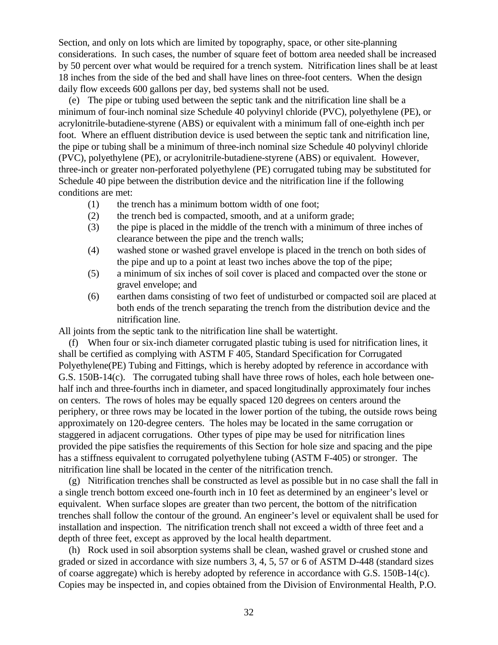Section, and only on lots which are limited by topography, space, or other site-planning considerations. In such cases, the number of square feet of bottom area needed shall be increased by 50 percent over what would be required for a trench system. Nitrification lines shall be at least 18 inches from the side of the bed and shall have lines on three-foot centers. When the design daily flow exceeds 600 gallons per day, bed systems shall not be used.

 (e) The pipe or tubing used between the septic tank and the nitrification line shall be a minimum of four-inch nominal size Schedule 40 polyvinyl chloride (PVC), polyethylene (PE), or acrylonitrile-butadiene-styrene (ABS) or equivalent with a minimum fall of one-eighth inch per foot. Where an effluent distribution device is used between the septic tank and nitrification line, the pipe or tubing shall be a minimum of three-inch nominal size Schedule 40 polyvinyl chloride (PVC), polyethylene (PE), or acrylonitrile-butadiene-styrene (ABS) or equivalent. However, three-inch or greater non-perforated polyethylene (PE) corrugated tubing may be substituted for Schedule 40 pipe between the distribution device and the nitrification line if the following conditions are met:

- (1) the trench has a minimum bottom width of one foot;
- (2) the trench bed is compacted, smooth, and at a uniform grade;
- (3) the pipe is placed in the middle of the trench with a minimum of three inches of clearance between the pipe and the trench walls;
- (4) washed stone or washed gravel envelope is placed in the trench on both sides of the pipe and up to a point at least two inches above the top of the pipe;
- (5) a minimum of six inches of soil cover is placed and compacted over the stone or gravel envelope; and
- (6) earthen dams consisting of two feet of undisturbed or compacted soil are placed at both ends of the trench separating the trench from the distribution device and the nitrification line.

All joints from the septic tank to the nitrification line shall be watertight.

 (f) When four or six-inch diameter corrugated plastic tubing is used for nitrification lines, it shall be certified as complying with ASTM F 405, Standard Specification for Corrugated Polyethylene(PE) Tubing and Fittings, which is hereby adopted by reference in accordance with G.S. 150B-14(c). The corrugated tubing shall have three rows of holes, each hole between onehalf inch and three-fourths inch in diameter, and spaced longitudinally approximately four inches on centers. The rows of holes may be equally spaced 120 degrees on centers around the periphery, or three rows may be located in the lower portion of the tubing, the outside rows being approximately on 120-degree centers. The holes may be located in the same corrugation or staggered in adjacent corrugations. Other types of pipe may be used for nitrification lines provided the pipe satisfies the requirements of this Section for hole size and spacing and the pipe has a stiffness equivalent to corrugated polyethylene tubing (ASTM F-405) or stronger. The nitrification line shall be located in the center of the nitrification trench.

 (g) Nitrification trenches shall be constructed as level as possible but in no case shall the fall in a single trench bottom exceed one-fourth inch in 10 feet as determined by an engineer's level or equivalent. When surface slopes are greater than two percent, the bottom of the nitrification trenches shall follow the contour of the ground. An engineer's level or equivalent shall be used for installation and inspection. The nitrification trench shall not exceed a width of three feet and a depth of three feet, except as approved by the local health department.

 (h) Rock used in soil absorption systems shall be clean, washed gravel or crushed stone and graded or sized in accordance with size numbers 3, 4, 5, 57 or 6 of ASTM D-448 (standard sizes of coarse aggregate) which is hereby adopted by reference in accordance with G.S. 150B-14(c). Copies may be inspected in, and copies obtained from the Division of Environmental Health, P.O.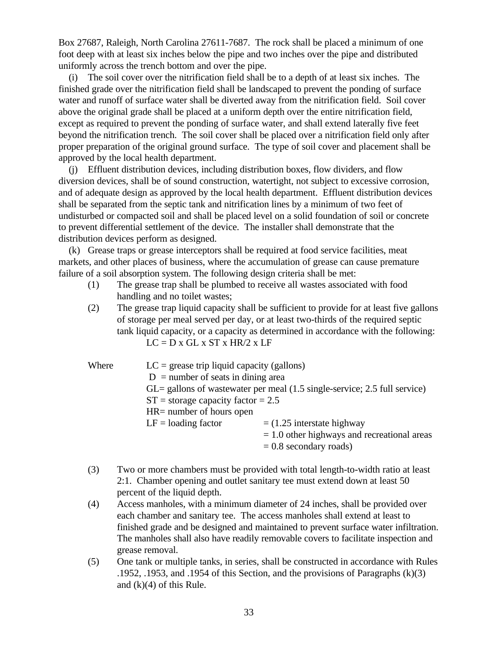Box 27687, Raleigh, North Carolina 27611-7687. The rock shall be placed a minimum of one foot deep with at least six inches below the pipe and two inches over the pipe and distributed uniformly across the trench bottom and over the pipe.

 (i) The soil cover over the nitrification field shall be to a depth of at least six inches. The finished grade over the nitrification field shall be landscaped to prevent the ponding of surface water and runoff of surface water shall be diverted away from the nitrification field. Soil cover above the original grade shall be placed at a uniform depth over the entire nitrification field, except as required to prevent the ponding of surface water, and shall extend laterally five feet beyond the nitrification trench. The soil cover shall be placed over a nitrification field only after proper preparation of the original ground surface. The type of soil cover and placement shall be approved by the local health department.

 (j) Effluent distribution devices, including distribution boxes, flow dividers, and flow diversion devices, shall be of sound construction, watertight, not subject to excessive corrosion, and of adequate design as approved by the local health department. Effluent distribution devices shall be separated from the septic tank and nitrification lines by a minimum of two feet of undisturbed or compacted soil and shall be placed level on a solid foundation of soil or concrete to prevent differential settlement of the device. The installer shall demonstrate that the distribution devices perform as designed.

 (k) Grease traps or grease interceptors shall be required at food service facilities, meat markets, and other places of business, where the accumulation of grease can cause premature failure of a soil absorption system. The following design criteria shall be met:

- (1) The grease trap shall be plumbed to receive all wastes associated with food handling and no toilet wastes;
- (2) The grease trap liquid capacity shall be sufficient to provide for at least five gallons of storage per meal served per day, or at least two-thirds of the required septic tank liquid capacity, or a capacity as determined in accordance with the following:  $LC = D x GL x ST x HR/2 x LF$

| Where | $LC$ = grease trip liquid capacity (gallons)                                                   |                                               |  |  |  |
|-------|------------------------------------------------------------------------------------------------|-----------------------------------------------|--|--|--|
|       | $D =$ number of seats in dining area                                                           |                                               |  |  |  |
|       | $GL =$ gallons of wastewater per meal $(1.5 \text{ single-service}; 2.5 \text{ full service})$ |                                               |  |  |  |
|       | $ST =$ storage capacity factor = 2.5                                                           |                                               |  |  |  |
|       | $HR =$ number of hours open                                                                    |                                               |  |  |  |
|       | $LF =$ loading factor                                                                          | $=$ (1.25 interstate highway                  |  |  |  |
|       |                                                                                                | $= 1.0$ other highways and recreational areas |  |  |  |
|       |                                                                                                | $= 0.8$ secondary roads)                      |  |  |  |

- (3) Two or more chambers must be provided with total length-to-width ratio at least 2:1. Chamber opening and outlet sanitary tee must extend down at least 50 percent of the liquid depth.
- (4) Access manholes, with a minimum diameter of 24 inches, shall be provided over each chamber and sanitary tee. The access manholes shall extend at least to finished grade and be designed and maintained to prevent surface water infiltration. The manholes shall also have readily removable covers to facilitate inspection and grease removal.
- (5) One tank or multiple tanks, in series, shall be constructed in accordance with Rules .1952, .1953, and .1954 of this Section, and the provisions of Paragraphs (k)(3) and  $(k)(4)$  of this Rule.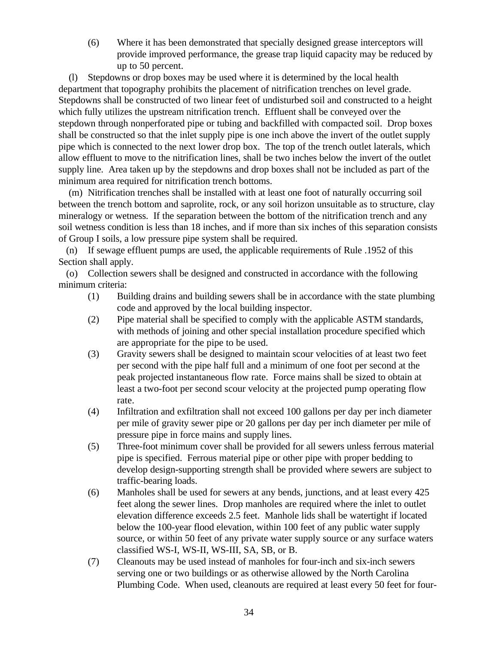(6) Where it has been demonstrated that specially designed grease interceptors will provide improved performance, the grease trap liquid capacity may be reduced by up to 50 percent.

 (l) Stepdowns or drop boxes may be used where it is determined by the local health department that topography prohibits the placement of nitrification trenches on level grade. Stepdowns shall be constructed of two linear feet of undisturbed soil and constructed to a height which fully utilizes the upstream nitrification trench. Effluent shall be conveyed over the stepdown through nonperforated pipe or tubing and backfilled with compacted soil. Drop boxes shall be constructed so that the inlet supply pipe is one inch above the invert of the outlet supply pipe which is connected to the next lower drop box. The top of the trench outlet laterals, which allow effluent to move to the nitrification lines, shall be two inches below the invert of the outlet supply line. Area taken up by the stepdowns and drop boxes shall not be included as part of the minimum area required for nitrification trench bottoms.

 (m) Nitrification trenches shall be installed with at least one foot of naturally occurring soil between the trench bottom and saprolite, rock, or any soil horizon unsuitable as to structure, clay mineralogy or wetness. If the separation between the bottom of the nitrification trench and any soil wetness condition is less than 18 inches, and if more than six inches of this separation consists of Group I soils, a low pressure pipe system shall be required.

 (n) If sewage effluent pumps are used, the applicable requirements of Rule .1952 of this Section shall apply.

 (o) Collection sewers shall be designed and constructed in accordance with the following minimum criteria:

- (1) Building drains and building sewers shall be in accordance with the state plumbing code and approved by the local building inspector.
- (2) Pipe material shall be specified to comply with the applicable ASTM standards, with methods of joining and other special installation procedure specified which are appropriate for the pipe to be used.
- (3) Gravity sewers shall be designed to maintain scour velocities of at least two feet per second with the pipe half full and a minimum of one foot per second at the peak projected instantaneous flow rate. Force mains shall be sized to obtain at least a two-foot per second scour velocity at the projected pump operating flow rate.
- (4) Infiltration and exfiltration shall not exceed 100 gallons per day per inch diameter per mile of gravity sewer pipe or 20 gallons per day per inch diameter per mile of pressure pipe in force mains and supply lines.
- (5) Three-foot minimum cover shall be provided for all sewers unless ferrous material pipe is specified. Ferrous material pipe or other pipe with proper bedding to develop design-supporting strength shall be provided where sewers are subject to traffic-bearing loads.
- (6) Manholes shall be used for sewers at any bends, junctions, and at least every 425 feet along the sewer lines. Drop manholes are required where the inlet to outlet elevation difference exceeds 2.5 feet. Manhole lids shall be watertight if located below the 100-year flood elevation, within 100 feet of any public water supply source, or within 50 feet of any private water supply source or any surface waters classified WS-I, WS-II, WS-III, SA, SB, or B.
- (7) Cleanouts may be used instead of manholes for four-inch and six-inch sewers serving one or two buildings or as otherwise allowed by the North Carolina Plumbing Code. When used, cleanouts are required at least every 50 feet for four-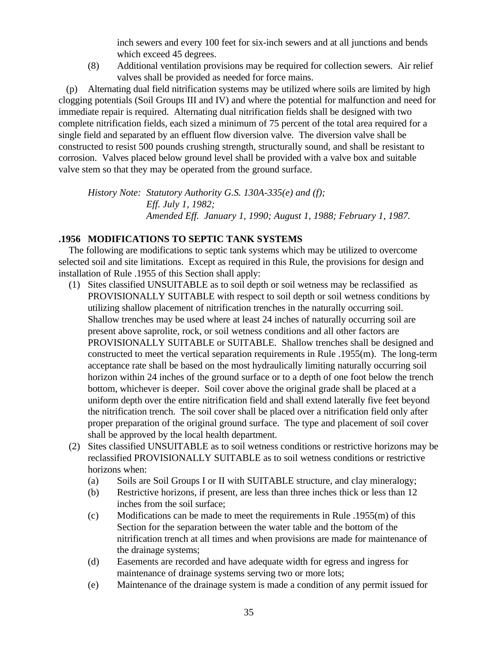inch sewers and every 100 feet for six-inch sewers and at all junctions and bends which exceed 45 degrees.

(8) Additional ventilation provisions may be required for collection sewers. Air relief valves shall be provided as needed for force mains.

 (p) Alternating dual field nitrification systems may be utilized where soils are limited by high clogging potentials (Soil Groups III and IV) and where the potential for malfunction and need for immediate repair is required. Alternating dual nitrification fields shall be designed with two complete nitrification fields, each sized a minimum of 75 percent of the total area required for a single field and separated by an effluent flow diversion valve. The diversion valve shall be constructed to resist 500 pounds crushing strength, structurally sound, and shall be resistant to corrosion. Valves placed below ground level shall be provided with a valve box and suitable valve stem so that they may be operated from the ground surface.

*History Note: Statutory Authority G.S. 130A-335(e) and (f); Eff. July 1, 1982; Amended Eff. January 1, 1990; August 1, 1988; February 1, 1987.*

### **.1956 MODIFICATIONS TO SEPTIC TANK SYSTEMS**

 The following are modifications to septic tank systems which may be utilized to overcome selected soil and site limitations. Except as required in this Rule, the provisions for design and installation of Rule .1955 of this Section shall apply:

- (1) Sites classified UNSUITABLE as to soil depth or soil wetness may be reclassified as PROVISIONALLY SUITABLE with respect to soil depth or soil wetness conditions by utilizing shallow placement of nitrification trenches in the naturally occurring soil. Shallow trenches may be used where at least 24 inches of naturally occurring soil are present above saprolite, rock, or soil wetness conditions and all other factors are PROVISIONALLY SUITABLE or SUITABLE. Shallow trenches shall be designed and constructed to meet the vertical separation requirements in Rule .1955(m). The long-term acceptance rate shall be based on the most hydraulically limiting naturally occurring soil horizon within 24 inches of the ground surface or to a depth of one foot below the trench bottom, whichever is deeper. Soil cover above the original grade shall be placed at a uniform depth over the entire nitrification field and shall extend laterally five feet beyond the nitrification trench. The soil cover shall be placed over a nitrification field only after proper preparation of the original ground surface. The type and placement of soil cover shall be approved by the local health department.
- (2) Sites classified UNSUITABLE as to soil wetness conditions or restrictive horizons may be reclassified PROVISIONALLY SUITABLE as to soil wetness conditions or restrictive horizons when:
	- (a) Soils are Soil Groups I or II with SUITABLE structure, and clay mineralogy;
	- (b) Restrictive horizons, if present, are less than three inches thick or less than 12 inches from the soil surface;
	- (c) Modifications can be made to meet the requirements in Rule  $.1955(m)$  of this Section for the separation between the water table and the bottom of the nitrification trench at all times and when provisions are made for maintenance of the drainage systems;
	- (d) Easements are recorded and have adequate width for egress and ingress for maintenance of drainage systems serving two or more lots;
	- (e) Maintenance of the drainage system is made a condition of any permit issued for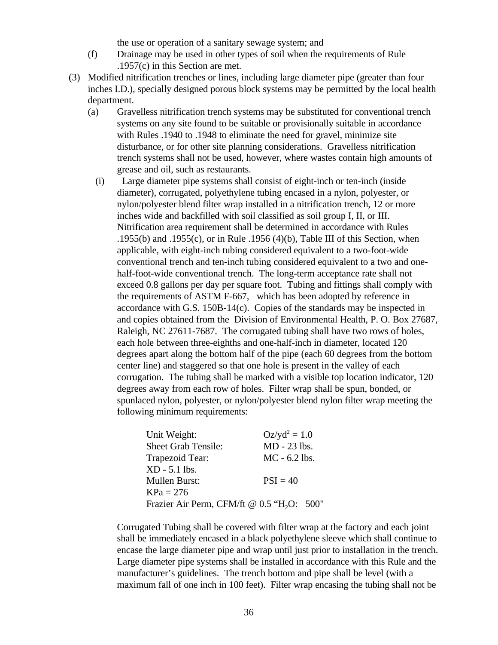the use or operation of a sanitary sewage system; and

- (f) Drainage may be used in other types of soil when the requirements of Rule .1957(c) in this Section are met.
- (3) Modified nitrification trenches or lines, including large diameter pipe (greater than four inches I.D.), specially designed porous block systems may be permitted by the local health department.
	- (a) Gravelless nitrification trench systems may be substituted for conventional trench systems on any site found to be suitable or provisionally suitable in accordance with Rules .1940 to .1948 to eliminate the need for gravel, minimize site disturbance, or for other site planning considerations. Gravelless nitrification trench systems shall not be used, however, where wastes contain high amounts of grease and oil, such as restaurants.
		- (i) Large diameter pipe systems shall consist of eight-inch or ten-inch (inside diameter), corrugated, polyethylene tubing encased in a nylon, polyester, or nylon/polyester blend filter wrap installed in a nitrification trench, 12 or more inches wide and backfilled with soil classified as soil group I, II, or III. Nitrification area requirement shall be determined in accordance with Rules .1955(b) and .1955(c), or in Rule .1956 (4)(b), Table III of this Section, when applicable, with eight-inch tubing considered equivalent to a two-foot-wide conventional trench and ten-inch tubing considered equivalent to a two and onehalf-foot-wide conventional trench. The long-term acceptance rate shall not exceed 0.8 gallons per day per square foot. Tubing and fittings shall comply with the requirements of ASTM F-667, which has been adopted by reference in accordance with G.S.  $150B-14(c)$ . Copies of the standards may be inspected in and copies obtained from the Division of Environmental Health, P. O. Box 27687, Raleigh, NC 27611-7687. The corrugated tubing shall have two rows of holes, each hole between three-eighths and one-half-inch in diameter, located 120 degrees apart along the bottom half of the pipe (each 60 degrees from the bottom center line) and staggered so that one hole is present in the valley of each corrugation. The tubing shall be marked with a visible top location indicator, 120 degrees away from each row of holes. Filter wrap shall be spun, bonded, or spunlaced nylon, polyester, or nylon/polyester blend nylon filter wrap meeting the following minimum requirements:

| $Oz/yd^2 = 1.0$                                        |
|--------------------------------------------------------|
| MD - 23 lbs.                                           |
| $MC - 6.2$ lbs.                                        |
|                                                        |
| $PSI = 40$                                             |
|                                                        |
| Frazier Air Perm, CFM/ft @ 0.5 "H <sub>2</sub> O: 500" |
|                                                        |

Corrugated Tubing shall be covered with filter wrap at the factory and each joint shall be immediately encased in a black polyethylene sleeve which shall continue to encase the large diameter pipe and wrap until just prior to installation in the trench. Large diameter pipe systems shall be installed in accordance with this Rule and the manufacturer's guidelines. The trench bottom and pipe shall be level (with a maximum fall of one inch in 100 feet). Filter wrap encasing the tubing shall not be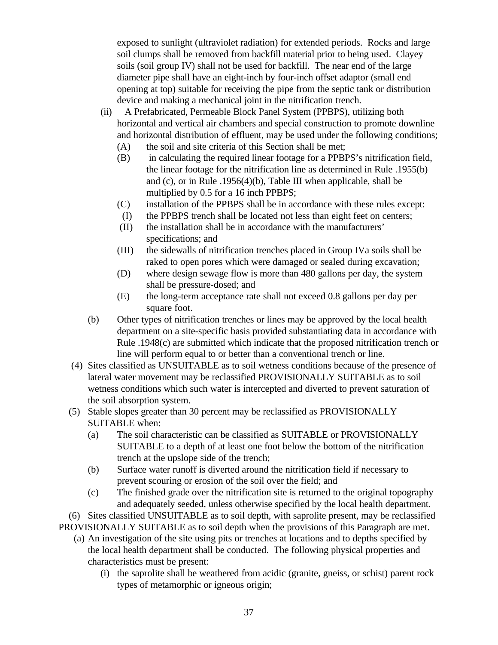exposed to sunlight (ultraviolet radiation) for extended periods. Rocks and large soil clumps shall be removed from backfill material prior to being used. Clayey soils (soil group IV) shall not be used for backfill. The near end of the large diameter pipe shall have an eight-inch by four-inch offset adaptor (small end opening at top) suitable for receiving the pipe from the septic tank or distribution device and making a mechanical joint in the nitrification trench.

- (ii) A Prefabricated, Permeable Block Panel System (PPBPS), utilizing both horizontal and vertical air chambers and special construction to promote downline and horizontal distribution of effluent, may be used under the following conditions;
	- (A) the soil and site criteria of this Section shall be met;
	- (B) in calculating the required linear footage for a PPBPS's nitrification field, the linear footage for the nitrification line as determined in Rule .1955(b) and (c), or in Rule .1956(4)(b), Table III when applicable, shall be multiplied by 0.5 for a 16 inch PPBPS;
	- (C) installation of the PPBPS shall be in accordance with these rules except:
	- (I) the PPBPS trench shall be located not less than eight feet on centers;
	- (II) the installation shall be in accordance with the manufacturers' specifications; and
	- (III) the sidewalls of nitrification trenches placed in Group IVa soils shall be raked to open pores which were damaged or sealed during excavation;
	- (D) where design sewage flow is more than 480 gallons per day, the system shall be pressure-dosed; and
	- (E) the long-term acceptance rate shall not exceed 0.8 gallons per day per square foot.
- (b) Other types of nitrification trenches or lines may be approved by the local health department on a site-specific basis provided substantiating data in accordance with Rule .1948(c) are submitted which indicate that the proposed nitrification trench or line will perform equal to or better than a conventional trench or line.
- (4) Sites classified as UNSUITABLE as to soil wetness conditions because of the presence of lateral water movement may be reclassified PROVISIONALLY SUITABLE as to soil wetness conditions which such water is intercepted and diverted to prevent saturation of the soil absorption system.
- (5) Stable slopes greater than 30 percent may be reclassified as PROVISIONALLY SUITABLE when:
	- (a) The soil characteristic can be classified as SUITABLE or PROVISIONALLY SUITABLE to a depth of at least one foot below the bottom of the nitrification trench at the upslope side of the trench;
	- (b) Surface water runoff is diverted around the nitrification field if necessary to prevent scouring or erosion of the soil over the field; and
	- (c) The finished grade over the nitrification site is returned to the original topography and adequately seeded, unless otherwise specified by the local health department.

 (6) Sites classified UNSUITABLE as to soil depth, with saprolite present, may be reclassified PROVISIONALLY SUITABLE as to soil depth when the provisions of this Paragraph are met.

- (a) An investigation of the site using pits or trenches at locations and to depths specified by the local health department shall be conducted. The following physical properties and characteristics must be present:
	- (i) the saprolite shall be weathered from acidic (granite, gneiss, or schist) parent rock types of metamorphic or igneous origin;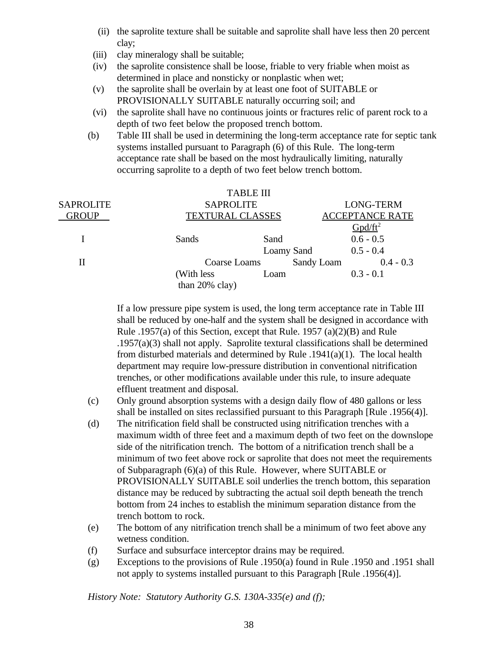- (ii) the saprolite texture shall be suitable and saprolite shall have less then 20 percent clay;
- (iii) clay mineralogy shall be suitable;
- (iv) the saprolite consistence shall be loose, friable to very friable when moist as determined in place and nonsticky or nonplastic when wet;
- (v) the saprolite shall be overlain by at least one foot of SUITABLE or PROVISIONALLY SUITABLE naturally occurring soil; and
- (vi) the saprolite shall have no continuous joints or fractures relic of parent rock to a depth of two feet below the proposed trench bottom.
- (b) Table III shall be used in determining the long-term acceptance rate for septic tank systems installed pursuant to Paragraph (6) of this Rule. The long-term acceptance rate shall be based on the most hydraulically limiting, naturally occurring saprolite to a depth of two feet below trench bottom.

|                  |                         | <b>TABLE III</b> |            |                        |
|------------------|-------------------------|------------------|------------|------------------------|
| <b>SAPROLITE</b> | <b>SAPROLITE</b>        |                  |            | <b>LONG-TERM</b>       |
| <b>GROUP</b>     | <b>TEXTURAL CLASSES</b> |                  |            | <b>ACCEPTANCE RATE</b> |
|                  |                         |                  |            | $Gpd/ft^2$             |
|                  | Sands                   | Sand             |            | $0.6 - 0.5$            |
|                  |                         | Loamy Sand       |            | $0.5 - 0.4$            |
| Н                | Coarse Loams            |                  | Sandy Loam | $0.4 - 0.3$            |
|                  | (With less)             | Loam             |            | $0.3 - 0.1$            |
|                  | than $20\%$ clay)       |                  |            |                        |

If a low pressure pipe system is used, the long term acceptance rate in Table III shall be reduced by one-half and the system shall be designed in accordance with Rule .1957(a) of this Section, except that Rule. 1957 (a)(2)(B) and Rule .1957(a)(3) shall not apply. Saprolite textural classifications shall be determined from disturbed materials and determined by Rule .1941(a)(1). The local health department may require low-pressure distribution in conventional nitrification trenches, or other modifications available under this rule, to insure adequate effluent treatment and disposal.

- (c) Only ground absorption systems with a design daily flow of 480 gallons or less shall be installed on sites reclassified pursuant to this Paragraph [Rule .1956(4)].
- (d) The nitrification field shall be constructed using nitrification trenches with a maximum width of three feet and a maximum depth of two feet on the downslope side of the nitrification trench. The bottom of a nitrification trench shall be a minimum of two feet above rock or saprolite that does not meet the requirements of Subparagraph (6)(a) of this Rule. However, where SUITABLE or PROVISIONALLY SUITABLE soil underlies the trench bottom, this separation distance may be reduced by subtracting the actual soil depth beneath the trench bottom from 24 inches to establish the minimum separation distance from the trench bottom to rock.
- (e) The bottom of any nitrification trench shall be a minimum of two feet above any wetness condition.
- (f) Surface and subsurface interceptor drains may be required.
- (g) Exceptions to the provisions of Rule .1950(a) found in Rule .1950 and .1951 shall not apply to systems installed pursuant to this Paragraph [Rule .1956(4)].

*History Note: Statutory Authority G.S. 130A-335(e) and (f);*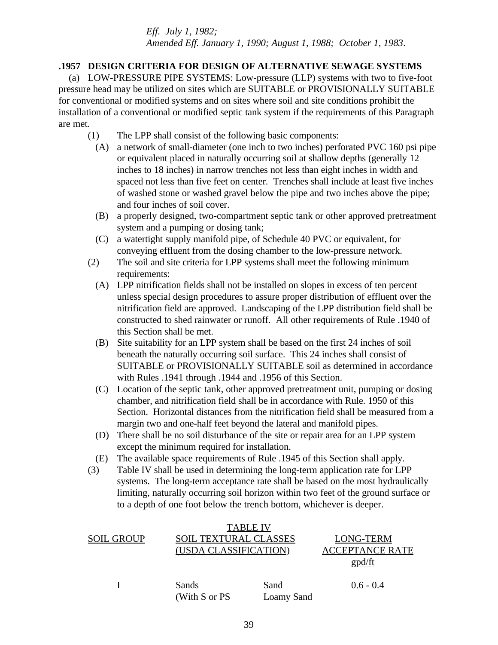*Eff. July 1, 1982; Amended Eff. January 1, 1990; August 1, 1988; October 1, 1983*.

# **.1957 DESIGN CRITERIA FOR DESIGN OF ALTERNATIVE SEWAGE SYSTEMS**

 (a) LOW-PRESSURE PIPE SYSTEMS: Low-pressure (LLP) systems with two to five-foot pressure head may be utilized on sites which are SUITABLE or PROVISIONALLY SUITABLE for conventional or modified systems and on sites where soil and site conditions prohibit the installation of a conventional or modified septic tank system if the requirements of this Paragraph are met.

- (1) The LPP shall consist of the following basic components:
	- (A) a network of small-diameter (one inch to two inches) perforated PVC 160 psi pipe or equivalent placed in naturally occurring soil at shallow depths (generally 12 inches to 18 inches) in narrow trenches not less than eight inches in width and spaced not less than five feet on center. Trenches shall include at least five inches of washed stone or washed gravel below the pipe and two inches above the pipe; and four inches of soil cover.
	- (B) a properly designed, two-compartment septic tank or other approved pretreatment system and a pumping or dosing tank;
	- (C) a watertight supply manifold pipe, of Schedule 40 PVC or equivalent, for conveying effluent from the dosing chamber to the low-pressure network.
- (2) The soil and site criteria for LPP systems shall meet the following minimum requirements:
	- (A) LPP nitrification fields shall not be installed on slopes in excess of ten percent unless special design procedures to assure proper distribution of effluent over the nitrification field are approved. Landscaping of the LPP distribution field shall be constructed to shed rainwater or runoff. All other requirements of Rule .1940 of this Section shall be met.
	- (B) Site suitability for an LPP system shall be based on the first 24 inches of soil beneath the naturally occurring soil surface. This 24 inches shall consist of SUITABLE or PROVISIONALLY SUITABLE soil as determined in accordance with Rules .1941 through .1944 and .1956 of this Section.
	- (C) Location of the septic tank, other approved pretreatment unit, pumping or dosing chamber, and nitrification field shall be in accordance with Rule. 1950 of this Section. Horizontal distances from the nitrification field shall be measured from a margin two and one-half feet beyond the lateral and manifold pipes.
	- (D) There shall be no soil disturbance of the site or repair area for an LPP system except the minimum required for installation.
- (E) The available space requirements of Rule .1945 of this Section shall apply.
- (3) Table IV shall be used in determining the long-term application rate for LPP systems. The long-term acceptance rate shall be based on the most hydraulically limiting, naturally occurring soil horizon within two feet of the ground surface or to a depth of one foot below the trench bottom, whichever is deeper.

|            |                              | <b>TABLE IV</b> |                        |
|------------|------------------------------|-----------------|------------------------|
| SOIL GROUP | <b>SOIL TEXTURAL CLASSES</b> |                 | LONG-TERM              |
|            | (USDA CLASSIFICATION)        |                 | <b>ACCEPTANCE RATE</b> |
|            |                              |                 | gpd/ft                 |
|            | Sands<br>(With S or PS       | Sand            | $0.6 - 0.4$            |
|            |                              | Loamy Sand      |                        |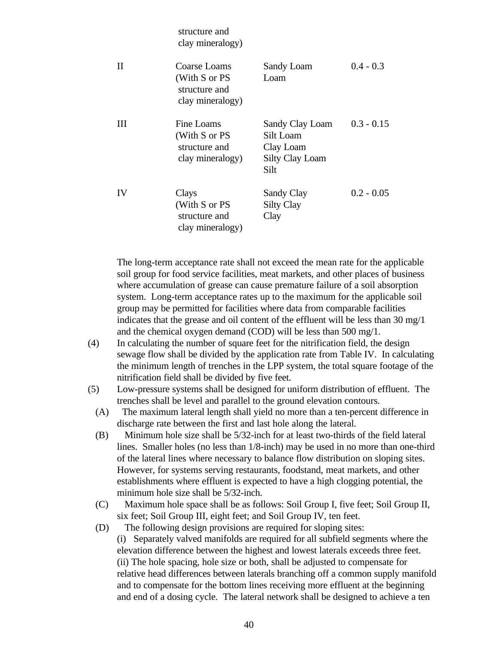|              | su ucture anu<br>clay mineralogy)                                  |                                                                             |              |
|--------------|--------------------------------------------------------------------|-----------------------------------------------------------------------------|--------------|
| $\mathbf{H}$ | Coarse Loams<br>(With S or PS<br>structure and<br>clay mineralogy) | Sandy Loam<br>Loam                                                          | $0.4 - 0.3$  |
| Ш            | Fine Loams<br>(With S or PS<br>structure and<br>clay mineralogy)   | Sandy Clay Loam<br>Silt Loam<br>Clay Loam<br><b>Silty Clay Loam</b><br>Silt | $0.3 - 0.15$ |
| IV           | Clays<br>(With S or PS<br>structure and<br>clay mineralogy)        | Sandy Clay<br><b>Silty Clay</b><br>Clay                                     | $0.2 - 0.05$ |

structure and

The long-term acceptance rate shall not exceed the mean rate for the applicable soil group for food service facilities, meat markets, and other places of business where accumulation of grease can cause premature failure of a soil absorption system. Long-term acceptance rates up to the maximum for the applicable soil group may be permitted for facilities where data from comparable facilities indicates that the grease and oil content of the effluent will be less than 30 mg/1 and the chemical oxygen demand (COD) will be less than 500 mg/1.

- (4) In calculating the number of square feet for the nitrification field, the design sewage flow shall be divided by the application rate from Table IV. In calculating the minimum length of trenches in the LPP system, the total square footage of the nitrification field shall be divided by five feet.
- (5) Low-pressure systems shall be designed for uniform distribution of effluent. The trenches shall be level and parallel to the ground elevation contours.
	- (A) The maximum lateral length shall yield no more than a ten-percent difference in discharge rate between the first and last hole along the lateral.
	- (B) Minimum hole size shall be 5/32-inch for at least two-thirds of the field lateral lines. Smaller holes (no less than 1/8-inch) may be used in no more than one-third of the lateral lines where necessary to balance flow distribution on sloping sites. However, for systems serving restaurants, foodstand, meat markets, and other establishments where effluent is expected to have a high clogging potential, the minimum hole size shall be 5/32-inch.
	- (C) Maximum hole space shall be as follows: Soil Group I, five feet; Soil Group II, six feet; Soil Group III, eight feet; and Soil Group IV, ten feet.
	- (D) The following design provisions are required for sloping sites: (i) Separately valved manifolds are required for all subfield segments where the elevation difference between the highest and lowest laterals exceeds three feet. (ii) The hole spacing, hole size or both, shall be adjusted to compensate for relative head differences between laterals branching off a common supply manifold and to compensate for the bottom lines receiving more effluent at the beginning and end of a dosing cycle. The lateral network shall be designed to achieve a ten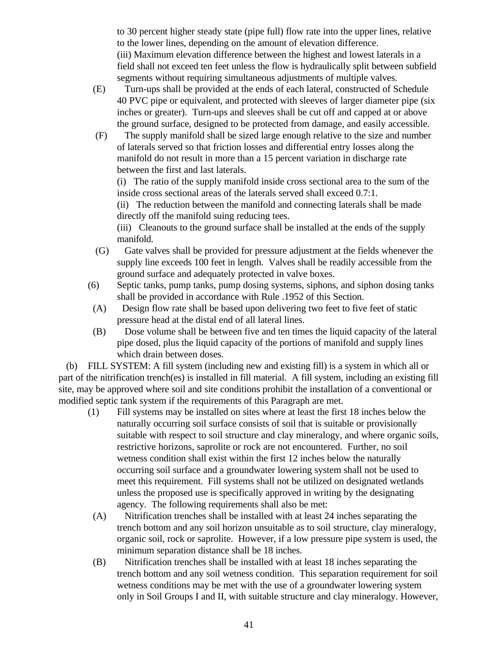to 30 percent higher steady state (pipe full) flow rate into the upper lines, relative to the lower lines, depending on the amount of elevation difference. (iii) Maximum elevation difference between the highest and lowest laterals in a field shall not exceed ten feet unless the flow is hydraulically split between subfield segments without requiring simultaneous adjustments of multiple valves.

- (E) Turn-ups shall be provided at the ends of each lateral, constructed of Schedule 40 PVC pipe or equivalent, and protected with sleeves of larger diameter pipe (six inches or greater). Turn-ups and sleeves shall be cut off and capped at or above the ground surface, designed to be protected from damage, and easily accessible.
- (F) The supply manifold shall be sized large enough relative to the size and number of laterals served so that friction losses and differential entry losses along the manifold do not result in more than a 15 percent variation in discharge rate between the first and last laterals.

(i) The ratio of the supply manifold inside cross sectional area to the sum of the inside cross sectional areas of the laterals served shall exceed 0.7:1.

(ii) The reduction between the manifold and connecting laterals shall be made directly off the manifold suing reducing tees.

(iii) Cleanouts to the ground surface shall be installed at the ends of the supply manifold.

- (G) Gate valves shall be provided for pressure adjustment at the fields whenever the supply line exceeds 100 feet in length. Valves shall be readily accessible from the ground surface and adequately protected in valve boxes.
- (6) Septic tanks, pump tanks, pump dosing systems, siphons, and siphon dosing tanks shall be provided in accordance with Rule .1952 of this Section.
- (A) Design flow rate shall be based upon delivering two feet to five feet of static pressure head at the distal end of all lateral lines.
- (B) Dose volume shall be between five and ten times the liquid capacity of the lateral pipe dosed, plus the liquid capacity of the portions of manifold and supply lines which drain between doses.

 (b) FILL SYSTEM: A fill system (including new and existing fill) is a system in which all or part of the nitrification trench(es) is installed in fill material. A fill system, including an existing fill site, may be approved where soil and site conditions prohibit the installation of a conventional or modified septic tank system if the requirements of this Paragraph are met.

- (1) Fill systems may be installed on sites where at least the first 18 inches below the naturally occurring soil surface consists of soil that is suitable or provisionally suitable with respect to soil structure and clay mineralogy, and where organic soils, restrictive horizons, saprolite or rock are not encountered. Further, no soil wetness condition shall exist within the first 12 inches below the naturally occurring soil surface and a groundwater lowering system shall not be used to meet this requirement. Fill systems shall not be utilized on designated wetlands unless the proposed use is specifically approved in writing by the designating agency. The following requirements shall also be met:
- (A) Nitrification trenches shall be installed with at least 24 inches separating the trench bottom and any soil horizon unsuitable as to soil structure, clay mineralogy, organic soil, rock or saprolite. However, if a low pressure pipe system is used, the minimum separation distance shall be 18 inches.
- (B) Nitrification trenches shall be installed with at least 18 inches separating the trench bottom and any soil wetness condition. This separation requirement for soil wetness conditions may be met with the use of a groundwater lowering system only in Soil Groups I and II, with suitable structure and clay mineralogy. However,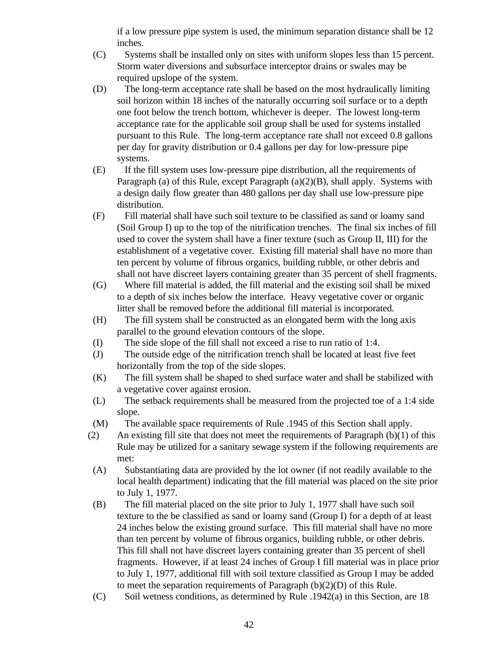if a low pressure pipe system is used, the minimum separation distance shall be 12 inches.

- (C) Systems shall be installed only on sites with uniform slopes less than 15 percent. Storm water diversions and subsurface interceptor drains or swales may be required upslope of the system.
- (D) The long-term acceptance rate shall be based on the most hydraulically limiting soil horizon within 18 inches of the naturally occurring soil surface or to a depth one foot below the trench bottom, whichever is deeper. The lowest long-term acceptance rate for the applicable soil group shall be used for systems installed pursuant to this Rule. The long-term acceptance rate shall not exceed 0.8 gallons per day for gravity distribution or 0.4 gallons per day for low-pressure pipe systems.
- (E) If the fill system uses low-pressure pipe distribution, all the requirements of Paragraph (a) of this Rule, except Paragraph (a)(2)(B), shall apply. Systems with a design daily flow greater than 480 gallons per day shall use low-pressure pipe distribution.
- (F) Fill material shall have such soil texture to be classified as sand or loamy sand (Soil Group I) up to the top of the nitrification trenches. The final six inches of fill used to cover the system shall have a finer texture (such as Group II, III) for the establishment of a vegetative cover. Existing fill material shall have no more than ten percent by volume of fibrous organics, building rubble, or other debris and shall not have discreet layers containing greater than 35 percent of shell fragments.
- (G) Where fill material is added, the fill material and the existing soil shall be mixed to a depth of six inches below the interface. Heavy vegetative cover or organic litter shall be removed before the additional fill material is incorporated.
- (H) The fill system shall be constructed as an elongated berm with the long axis parallel to the ground elevation contours of the slope.
- (I) The side slope of the fill shall not exceed a rise to run ratio of 1:4.
- (J) The outside edge of the nitrification trench shall be located at least five feet horizontally from the top of the side slopes.
- (K) The fill system shall be shaped to shed surface water and shall be stabilized with a vegetative cover against erosion.
- (L) The setback requirements shall be measured from the projected toe of a 1:4 side slope.
- (M) The available space requirements of Rule .1945 of this Section shall apply.
- (2) An existing fill site that does not meet the requirements of Paragraph  $(b)(1)$  of this Rule may be utilized for a sanitary sewage system if the following requirements are met:
- (A) Substantiating data are provided by the lot owner (if not readily available to the local health department) indicating that the fill material was placed on the site prior to July 1, 1977.
- (B) The fill material placed on the site prior to July 1, 1977 shall have such soil texture to the be classified as sand or loamy sand (Group I) for a depth of at least 24 inches below the existing ground surface. This fill material shall have no more than ten percent by volume of fibrous organics, building rubble, or other debris. This fill shall not have discreet layers containing greater than 35 percent of shell fragments. However, if at least 24 inches of Group I fill material was in place prior to July 1, 1977, additional fill with soil texture classified as Group I may be added to meet the separation requirements of Paragraph  $(b)(2)(D)$  of this Rule.
- (C) Soil wetness conditions, as determined by Rule .1942(a) in this Section, are 18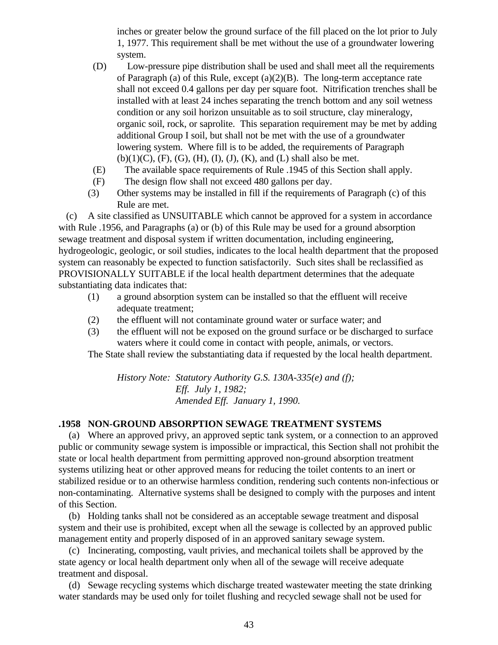inches or greater below the ground surface of the fill placed on the lot prior to July 1, 1977. This requirement shall be met without the use of a groundwater lowering system.

- (D) Low-pressure pipe distribution shall be used and shall meet all the requirements of Paragraph (a) of this Rule, except (a)(2)(B). The long-term acceptance rate shall not exceed 0.4 gallons per day per square foot. Nitrification trenches shall be installed with at least 24 inches separating the trench bottom and any soil wetness condition or any soil horizon unsuitable as to soil structure, clay mineralogy, organic soil, rock, or saprolite. This separation requirement may be met by adding additional Group I soil, but shall not be met with the use of a groundwater lowering system. Where fill is to be added, the requirements of Paragraph  $(b)(1)(C)$ ,  $(F)$ ,  $(G)$ ,  $(H)$ ,  $(I)$ ,  $(J)$ ,  $(K)$ , and  $(L)$  shall also be met.
- (E) The available space requirements of Rule .1945 of this Section shall apply.
- (F) The design flow shall not exceed 480 gallons per day.
- (3) Other systems may be installed in fill if the requirements of Paragraph (c) of this Rule are met.

 (c) A site classified as UNSUITABLE which cannot be approved for a system in accordance with Rule .1956, and Paragraphs (a) or (b) of this Rule may be used for a ground absorption sewage treatment and disposal system if written documentation, including engineering, hydrogeologic, geologic, or soil studies, indicates to the local health department that the proposed system can reasonably be expected to function satisfactorily. Such sites shall be reclassified as PROVISIONALLY SUITABLE if the local health department determines that the adequate substantiating data indicates that:

- (1) a ground absorption system can be installed so that the effluent will receive adequate treatment;
- (2) the effluent will not contaminate ground water or surface water; and
- (3) the effluent will not be exposed on the ground surface or be discharged to surface waters where it could come in contact with people, animals, or vectors.

The State shall review the substantiating data if requested by the local health department.

*History Note: Statutory Authority G.S. 130A-335(e) and (f); Eff. July 1, 1982; Amended Eff. January 1, 1990.*

#### **.1958 NON-GROUND ABSORPTION SEWAGE TREATMENT SYSTEMS**

 (a) Where an approved privy, an approved septic tank system, or a connection to an approved public or community sewage system is impossible or impractical, this Section shall not prohibit the state or local health department from permitting approved non-ground absorption treatment systems utilizing heat or other approved means for reducing the toilet contents to an inert or stabilized residue or to an otherwise harmless condition, rendering such contents non-infectious or non-contaminating. Alternative systems shall be designed to comply with the purposes and intent of this Section.

 (b) Holding tanks shall not be considered as an acceptable sewage treatment and disposal system and their use is prohibited, except when all the sewage is collected by an approved public management entity and properly disposed of in an approved sanitary sewage system.

 (c) Incinerating, composting, vault privies, and mechanical toilets shall be approved by the state agency or local health department only when all of the sewage will receive adequate treatment and disposal.

 (d) Sewage recycling systems which discharge treated wastewater meeting the state drinking water standards may be used only for toilet flushing and recycled sewage shall not be used for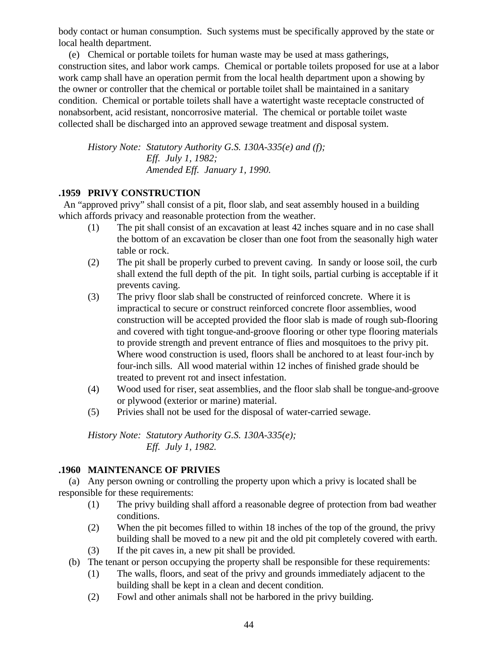body contact or human consumption. Such systems must be specifically approved by the state or local health department.

 (e) Chemical or portable toilets for human waste may be used at mass gatherings, construction sites, and labor work camps. Chemical or portable toilets proposed for use at a labor work camp shall have an operation permit from the local health department upon a showing by the owner or controller that the chemical or portable toilet shall be maintained in a sanitary condition. Chemical or portable toilets shall have a watertight waste receptacle constructed of nonabsorbent, acid resistant, noncorrosive material. The chemical or portable toilet waste collected shall be discharged into an approved sewage treatment and disposal system.

*History Note: Statutory Authority G.S. 130A-335(e) and (f); Eff. July 1, 1982; Amended Eff. January 1, 1990.*

# **.1959 PRIVY CONSTRUCTION**

 An "approved privy" shall consist of a pit, floor slab, and seat assembly housed in a building which affords privacy and reasonable protection from the weather.

- (1) The pit shall consist of an excavation at least 42 inches square and in no case shall the bottom of an excavation be closer than one foot from the seasonally high water table or rock.
- (2) The pit shall be properly curbed to prevent caving. In sandy or loose soil, the curb shall extend the full depth of the pit. In tight soils, partial curbing is acceptable if it prevents caving.
- (3) The privy floor slab shall be constructed of reinforced concrete. Where it is impractical to secure or construct reinforced concrete floor assemblies, wood construction will be accepted provided the floor slab is made of rough sub-flooring and covered with tight tongue-and-groove flooring or other type flooring materials to provide strength and prevent entrance of flies and mosquitoes to the privy pit. Where wood construction is used, floors shall be anchored to at least four-inch by four-inch sills. All wood material within 12 inches of finished grade should be treated to prevent rot and insect infestation.
- (4) Wood used for riser, seat assemblies, and the floor slab shall be tongue-and-groove or plywood (exterior or marine) material.
- (5) Privies shall not be used for the disposal of water-carried sewage.

*History Note: Statutory Authority G.S. 130A-335(e); Eff. July 1, 1982.*

# **.1960 MAINTENANCE OF PRIVIES**

 (a) Any person owning or controlling the property upon which a privy is located shall be responsible for these requirements:

- (1) The privy building shall afford a reasonable degree of protection from bad weather conditions.
- (2) When the pit becomes filled to within 18 inches of the top of the ground, the privy building shall be moved to a new pit and the old pit completely covered with earth.
- (3) If the pit caves in, a new pit shall be provided.
- (b) The tenant or person occupying the property shall be responsible for these requirements:
	- (1) The walls, floors, and seat of the privy and grounds immediately adjacent to the building shall be kept in a clean and decent condition.
	- (2) Fowl and other animals shall not be harbored in the privy building.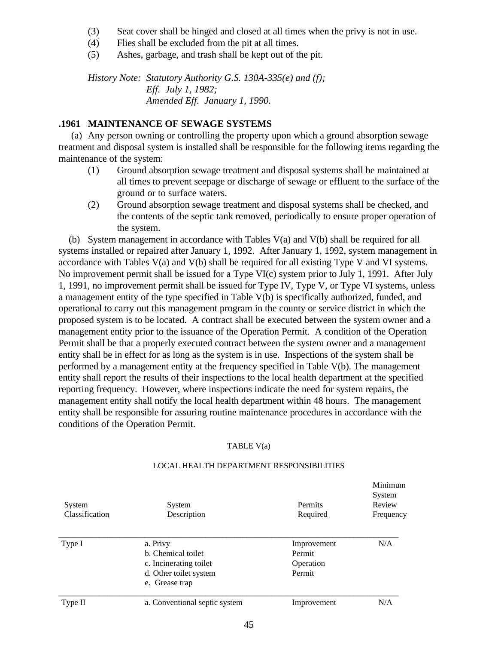- (3) Seat cover shall be hinged and closed at all times when the privy is not in use.
- (4) Flies shall be excluded from the pit at all times.
- (5) Ashes, garbage, and trash shall be kept out of the pit.

*History Note: Statutory Authority G.S. 130A-335(e) and (f); Eff. July 1, 1982; Amended Eff. January 1, 1990.*

### **.1961 MAINTENANCE OF SEWAGE SYSTEMS**

 (a) Any person owning or controlling the property upon which a ground absorption sewage treatment and disposal system is installed shall be responsible for the following items regarding the maintenance of the system:

- (1) Ground absorption sewage treatment and disposal systems shall be maintained at all times to prevent seepage or discharge of sewage or effluent to the surface of the ground or to surface waters.
- (2) Ground absorption sewage treatment and disposal systems shall be checked, and the contents of the septic tank removed, periodically to ensure proper operation of the system.

 (b) System management in accordance with Tables V(a) and V(b) shall be required for all systems installed or repaired after January 1, 1992. After January 1, 1992, system management in accordance with Tables V(a) and V(b) shall be required for all existing Type V and VI systems. No improvement permit shall be issued for a Type VI(c) system prior to July 1, 1991. After July 1, 1991, no improvement permit shall be issued for Type IV, Type V, or Type VI systems, unless a management entity of the type specified in Table V(b) is specifically authorized, funded, and operational to carry out this management program in the county or service district in which the proposed system is to be located. A contract shall be executed between the system owner and a management entity prior to the issuance of the Operation Permit. A condition of the Operation Permit shall be that a properly executed contract between the system owner and a management entity shall be in effect for as long as the system is in use. Inspections of the system shall be performed by a management entity at the frequency specified in Table V(b). The management entity shall report the results of their inspections to the local health department at the specified reporting frequency. However, where inspections indicate the need for system repairs, the management entity shall notify the local health department within 48 hours. The management entity shall be responsible for assuring routine maintenance procedures in accordance with the conditions of the Operation Permit.

#### TABLE V(a)

| System<br>Classification | System<br>Description                                                                                | Permits<br>Required                          | Minimum<br>System<br>Review<br><b>Frequency</b> |
|--------------------------|------------------------------------------------------------------------------------------------------|----------------------------------------------|-------------------------------------------------|
| Type I                   | a. Privy<br>b. Chemical toilet<br>c. Incinerating toilet<br>d. Other toilet system<br>e. Grease trap | Improvement<br>Permit<br>Operation<br>Permit | N/A                                             |
| Type II                  | a. Conventional septic system                                                                        | Improvement                                  | N/A                                             |

#### LOCAL HEALTH DEPARTMENT RESPONSIBILITIES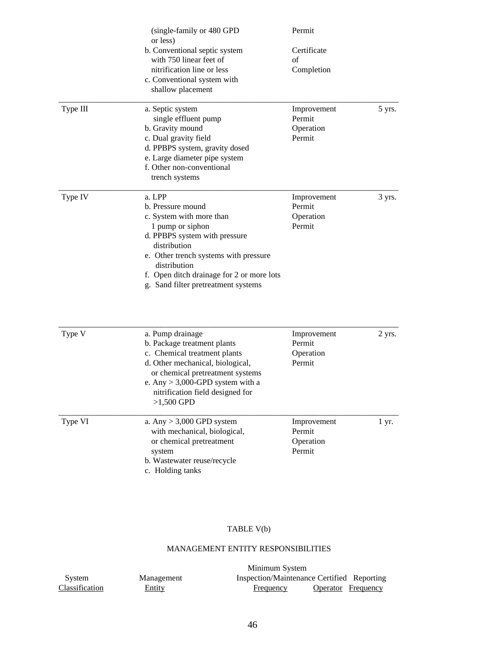|          | (single-family or 480 GPD<br>or less)                                                                                                                                                                                                                                     | Permit                                       |        |
|----------|---------------------------------------------------------------------------------------------------------------------------------------------------------------------------------------------------------------------------------------------------------------------------|----------------------------------------------|--------|
|          | b. Conventional septic system<br>with 750 linear feet of<br>nitrification line or less<br>c. Conventional system with<br>shallow placement                                                                                                                                | Certificate<br>of<br>Completion              |        |
| Type III | a. Septic system<br>single effluent pump<br>b. Gravity mound<br>c. Dual gravity field<br>d. PPBPS system, gravity dosed<br>e. Large diameter pipe system<br>f. Other non-conventional<br>trench systems                                                                   | Improvement<br>Permit<br>Operation<br>Permit | 5 yrs. |
| Type IV  | a. LPP<br>b. Pressure mound<br>c. System with more than<br>1 pump or siphon<br>d. PPBPS system with pressure<br>distribution<br>e. Other trench systems with pressure<br>distribution<br>f. Open ditch drainage for 2 or more lots<br>g. Sand filter pretreatment systems | Improvement<br>Permit<br>Operation<br>Permit | 3 yrs. |
| Type V   | a. Pump drainage<br>b. Package treatment plants<br>c. Chemical treatment plants<br>d. Other mechanical, biological,<br>or chemical pretreatment systems<br>e. Any $> 3,000$ -GPD system with a<br>nitrification field designed for<br>$>1,500$ GPD                        | Improvement<br>Permit<br>Operation<br>Permit | 2 yrs. |
| Type VI  | a. Any $> 3,000$ GPD system<br>with mechanical, biological,<br>or chemical pretreatment<br>system<br>b. Wastewater reuse/recycle<br>c. Holding tanks                                                                                                                      | Improvement<br>Permit<br>Operation<br>Permit | 1 yr.  |

# TABLE V(b)

#### MANAGEMENT ENTITY RESPONSIBILITIES

|                |               | Minimum System                             |                           |
|----------------|---------------|--------------------------------------------|---------------------------|
| System         | Management    | Inspection/Maintenance Certified Reporting |                           |
| Classification | <b>Entity</b> | <b>Frequency</b>                           | <b>Operator</b> Frequency |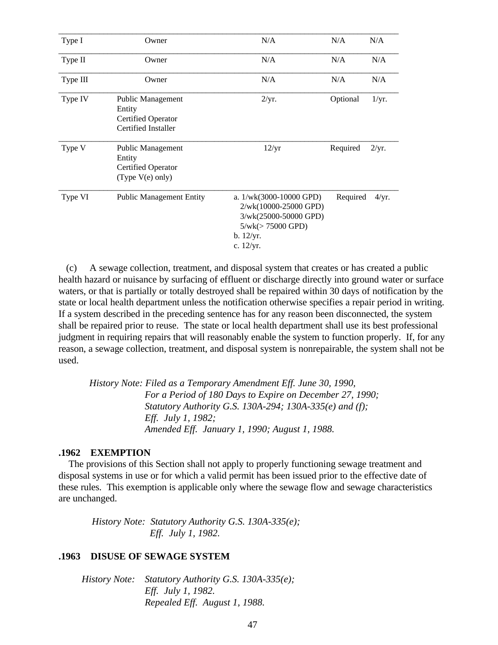| Type I   | Owner                                                                           | N/A                                                                                                                           | N/A      | N/A   |
|----------|---------------------------------------------------------------------------------|-------------------------------------------------------------------------------------------------------------------------------|----------|-------|
| Type II  | Owner                                                                           | N/A                                                                                                                           | N/A      | N/A   |
| Type III | Owner                                                                           | N/A                                                                                                                           | N/A      | N/A   |
| Type IV  | Public Management<br>Entity<br><b>Certified Operator</b><br>Certified Installer | 2/yr.                                                                                                                         | Optional | 1/yr. |
| Type V   | Public Management<br>Entity<br><b>Certified Operator</b><br>(Type $V(e)$ only)  | 12/yr                                                                                                                         | Required | 2/yr. |
| Type VI  | <b>Public Management Entity</b>                                                 | a. $1/wk(3000-10000$ GPD)<br>2/wk(10000-25000 GPD)<br>3/wk(25000-50000 GPD)<br>$5/wk (> 75000$ GPD)<br>b. 12/yr.<br>c. 12/yr. | Required | 4/yr. |

 (c) A sewage collection, treatment, and disposal system that creates or has created a public health hazard or nuisance by surfacing of effluent or discharge directly into ground water or surface waters, or that is partially or totally destroyed shall be repaired within 30 days of notification by the state or local health department unless the notification otherwise specifies a repair period in writing. If a system described in the preceding sentence has for any reason been disconnected, the system shall be repaired prior to reuse. The state or local health department shall use its best professional judgment in requiring repairs that will reasonably enable the system to function properly. If, for any reason, a sewage collection, treatment, and disposal system is nonrepairable, the system shall not be used.

 *History Note: Filed as a Temporary Amendment Eff. June 30, 1990, For a Period of 180 Days to Expire on December 27, 1990; Statutory Authority G.S. 130A-294; 130A-335(e) and (f); Eff. July 1, 1982; Amended Eff. January 1, 1990; August 1, 1988.*

#### **.1962 EXEMPTION**

 The provisions of this Section shall not apply to properly functioning sewage treatment and disposal systems in use or for which a valid permit has been issued prior to the effective date of these rules. This exemption is applicable only where the sewage flow and sewage characteristics are unchanged.

 *History Note: Statutory Authority G.S. 130A-335(e); Eff. July 1, 1982.*

#### **.1963 DISUSE OF SEWAGE SYSTEM**

| History Note: Statutory Authority G.S. 130A-335(e); |
|-----------------------------------------------------|
| <i>Eff. July 1, 1982.</i>                           |
| Repealed Eff. August 1, 1988.                       |